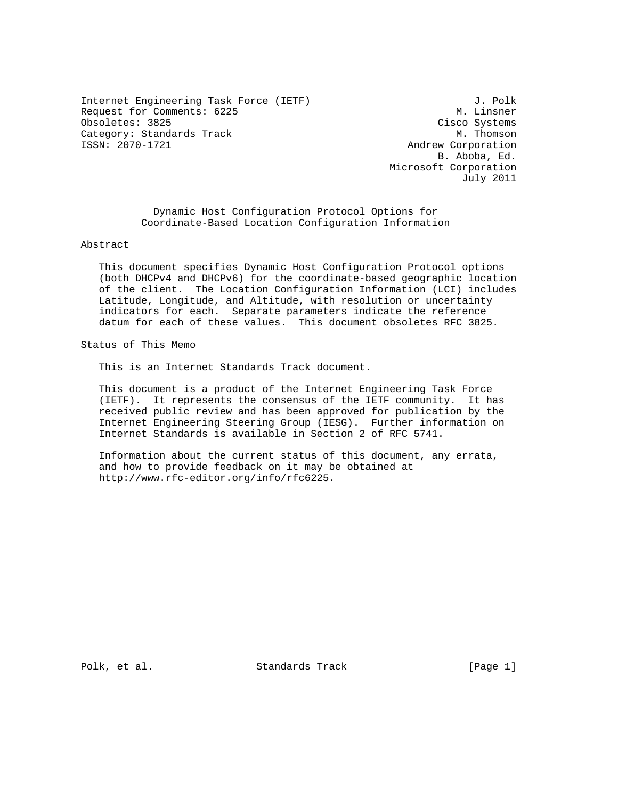Internet Engineering Task Force (IETF)  $J.$  Polk<br>Request for Comments: 6225 M. Linsner Request for Comments: 6225 Obsoletes: 3825<br>Category: Standards Track Category: M. Thomson Category: Standards Track<br>ISSN: 2070-1721

Andrew Corporation B. Aboba, Ed. Microsoft Corporation July 2011

 Dynamic Host Configuration Protocol Options for Coordinate-Based Location Configuration Information

Abstract

 This document specifies Dynamic Host Configuration Protocol options (both DHCPv4 and DHCPv6) for the coordinate-based geographic location of the client. The Location Configuration Information (LCI) includes Latitude, Longitude, and Altitude, with resolution or uncertainty indicators for each. Separate parameters indicate the reference datum for each of these values. This document obsoletes RFC 3825.

Status of This Memo

This is an Internet Standards Track document.

 This document is a product of the Internet Engineering Task Force (IETF). It represents the consensus of the IETF community. It has received public review and has been approved for publication by the Internet Engineering Steering Group (IESG). Further information on Internet Standards is available in Section 2 of RFC 5741.

 Information about the current status of this document, any errata, and how to provide feedback on it may be obtained at http://www.rfc-editor.org/info/rfc6225.

Polk, et al. Standards Track [Page 1]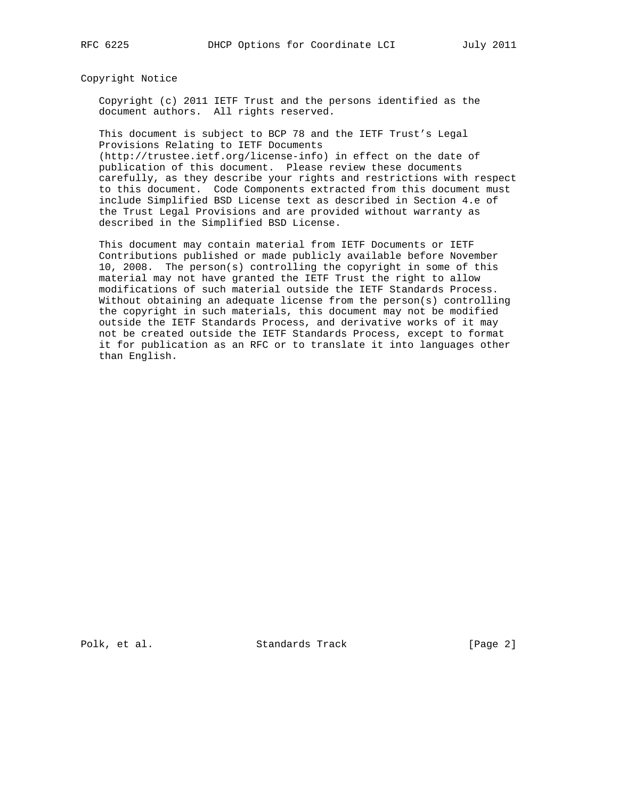Copyright Notice

 Copyright (c) 2011 IETF Trust and the persons identified as the document authors. All rights reserved.

 This document is subject to BCP 78 and the IETF Trust's Legal Provisions Relating to IETF Documents (http://trustee.ietf.org/license-info) in effect on the date of

 publication of this document. Please review these documents carefully, as they describe your rights and restrictions with respect to this document. Code Components extracted from this document must include Simplified BSD License text as described in Section 4.e of the Trust Legal Provisions and are provided without warranty as described in the Simplified BSD License.

 This document may contain material from IETF Documents or IETF Contributions published or made publicly available before November 10, 2008. The person(s) controlling the copyright in some of this material may not have granted the IETF Trust the right to allow modifications of such material outside the IETF Standards Process. Without obtaining an adequate license from the person(s) controlling the copyright in such materials, this document may not be modified outside the IETF Standards Process, and derivative works of it may not be created outside the IETF Standards Process, except to format it for publication as an RFC or to translate it into languages other than English.

Polk, et al. Standards Track [Page 2]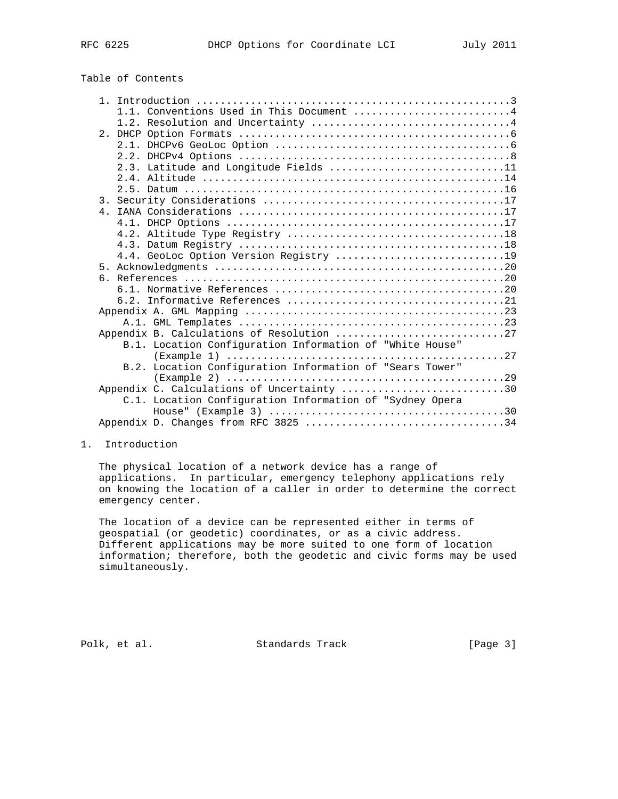| Table of Contents |
|-------------------|
|-------------------|

| 1.1. Conventions Used in This Document 4                                                 |  |
|------------------------------------------------------------------------------------------|--|
|                                                                                          |  |
|                                                                                          |  |
|                                                                                          |  |
|                                                                                          |  |
| 2.3. Latitude and Longitude Fields 11                                                    |  |
|                                                                                          |  |
|                                                                                          |  |
|                                                                                          |  |
|                                                                                          |  |
|                                                                                          |  |
|                                                                                          |  |
|                                                                                          |  |
| 4.4. GeoLoc Option Version Registry 19                                                   |  |
|                                                                                          |  |
|                                                                                          |  |
|                                                                                          |  |
|                                                                                          |  |
|                                                                                          |  |
|                                                                                          |  |
| Appendix B. Calculations of Resolution 27                                                |  |
| B.1. Location Configuration Information of "White House"                                 |  |
|                                                                                          |  |
| B.2. Location Configuration Information of "Sears Tower"                                 |  |
|                                                                                          |  |
| Appendix C. Calculations of Uncertainty 30                                               |  |
| C.1. Location Configuration Information of "Sydney Opera                                 |  |
| House" (Example 3) $\dots\dots\dots\dots\dots\dots\dots\dots\dots\dots\dots\dots\dots30$ |  |
| Appendix D. Changes from RFC 3825 34                                                     |  |

#### 1. Introduction

 The physical location of a network device has a range of applications. In particular, emergency telephony applications rely on knowing the location of a caller in order to determine the correct emergency center.

 The location of a device can be represented either in terms of geospatial (or geodetic) coordinates, or as a civic address. Different applications may be more suited to one form of location information; therefore, both the geodetic and civic forms may be used simultaneously.

Polk, et al. Standards Track [Page 3]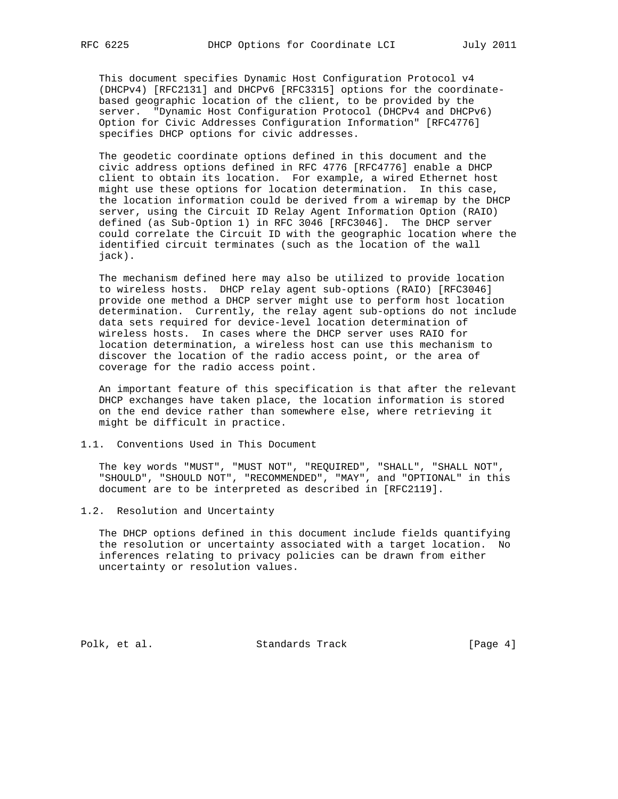This document specifies Dynamic Host Configuration Protocol v4 (DHCPv4) [RFC2131] and DHCPv6 [RFC3315] options for the coordinate based geographic location of the client, to be provided by the server. "Dynamic Host Configuration Protocol (DHCPv4 and DHCPv6) Option for Civic Addresses Configuration Information" [RFC4776] specifies DHCP options for civic addresses.

 The geodetic coordinate options defined in this document and the civic address options defined in RFC 4776 [RFC4776] enable a DHCP client to obtain its location. For example, a wired Ethernet host might use these options for location determination. In this case, the location information could be derived from a wiremap by the DHCP server, using the Circuit ID Relay Agent Information Option (RAIO) defined (as Sub-Option 1) in RFC 3046 [RFC3046]. The DHCP server could correlate the Circuit ID with the geographic location where the identified circuit terminates (such as the location of the wall jack).

 The mechanism defined here may also be utilized to provide location to wireless hosts. DHCP relay agent sub-options (RAIO) [RFC3046] provide one method a DHCP server might use to perform host location determination. Currently, the relay agent sub-options do not include data sets required for device-level location determination of wireless hosts. In cases where the DHCP server uses RAIO for location determination, a wireless host can use this mechanism to discover the location of the radio access point, or the area of coverage for the radio access point.

 An important feature of this specification is that after the relevant DHCP exchanges have taken place, the location information is stored on the end device rather than somewhere else, where retrieving it might be difficult in practice.

# 1.1. Conventions Used in This Document

 The key words "MUST", "MUST NOT", "REQUIRED", "SHALL", "SHALL NOT", "SHOULD", "SHOULD NOT", "RECOMMENDED", "MAY", and "OPTIONAL" in this document are to be interpreted as described in [RFC2119].

# 1.2. Resolution and Uncertainty

 The DHCP options defined in this document include fields quantifying the resolution or uncertainty associated with a target location. No inferences relating to privacy policies can be drawn from either uncertainty or resolution values.

Polk, et al. Standards Track [Page 4]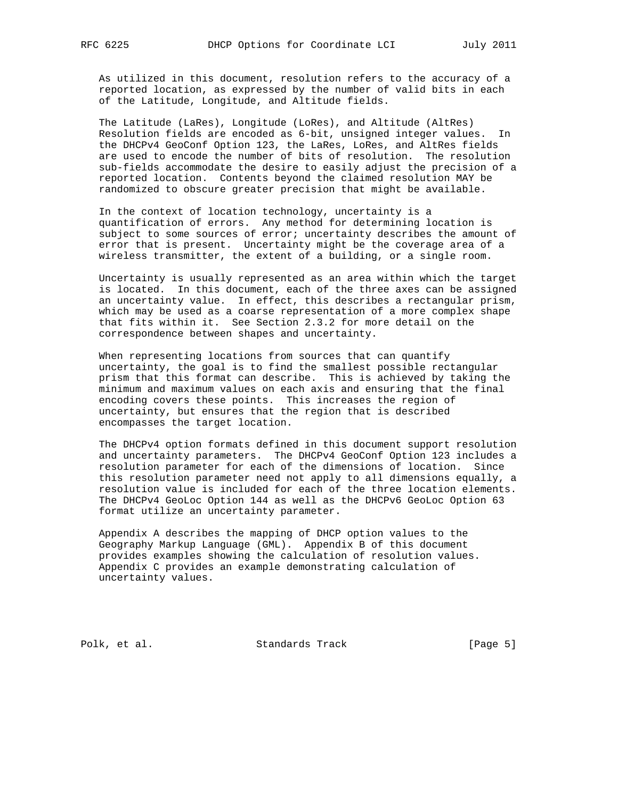As utilized in this document, resolution refers to the accuracy of a reported location, as expressed by the number of valid bits in each of the Latitude, Longitude, and Altitude fields.

 The Latitude (LaRes), Longitude (LoRes), and Altitude (AltRes) Resolution fields are encoded as 6-bit, unsigned integer values. In the DHCPv4 GeoConf Option 123, the LaRes, LoRes, and AltRes fields are used to encode the number of bits of resolution. The resolution sub-fields accommodate the desire to easily adjust the precision of a reported location. Contents beyond the claimed resolution MAY be randomized to obscure greater precision that might be available.

 In the context of location technology, uncertainty is a quantification of errors. Any method for determining location is subject to some sources of error; uncertainty describes the amount of error that is present. Uncertainty might be the coverage area of a wireless transmitter, the extent of a building, or a single room.

 Uncertainty is usually represented as an area within which the target is located. In this document, each of the three axes can be assigned an uncertainty value. In effect, this describes a rectangular prism, which may be used as a coarse representation of a more complex shape that fits within it. See Section 2.3.2 for more detail on the correspondence between shapes and uncertainty.

 When representing locations from sources that can quantify uncertainty, the goal is to find the smallest possible rectangular prism that this format can describe. This is achieved by taking the minimum and maximum values on each axis and ensuring that the final encoding covers these points. This increases the region of uncertainty, but ensures that the region that is described encompasses the target location.

 The DHCPv4 option formats defined in this document support resolution and uncertainty parameters. The DHCPv4 GeoConf Option 123 includes a resolution parameter for each of the dimensions of location. Since this resolution parameter need not apply to all dimensions equally, a resolution value is included for each of the three location elements. The DHCPv4 GeoLoc Option 144 as well as the DHCPv6 GeoLoc Option 63 format utilize an uncertainty parameter.

 Appendix A describes the mapping of DHCP option values to the Geography Markup Language (GML). Appendix B of this document provides examples showing the calculation of resolution values. Appendix C provides an example demonstrating calculation of uncertainty values.

Polk, et al. Standards Track [Page 5]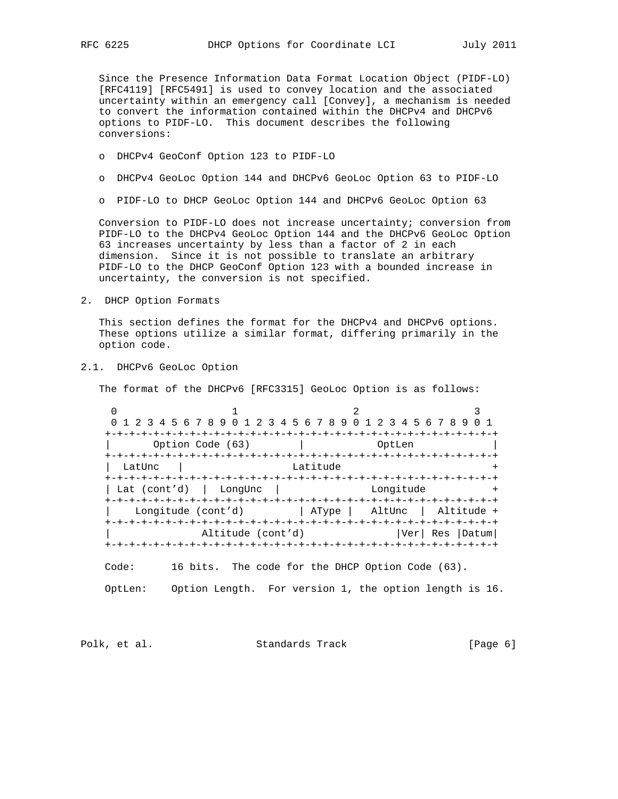Since the Presence Information Data Format Location Object (PIDF-LO) [RFC4119] [RFC5491] is used to convey location and the associated uncertainty within an emergency call [Convey], a mechanism is needed to convert the information contained within the DHCPv4 and DHCPv6 options to PIDF-LO. This document describes the following conversions:

- o DHCPv4 GeoConf Option 123 to PIDF-LO
- o DHCPv4 GeoLoc Option 144 and DHCPv6 GeoLoc Option 63 to PIDF-LO
- o PIDF-LO to DHCP GeoLoc Option 144 and DHCPv6 GeoLoc Option 63

 Conversion to PIDF-LO does not increase uncertainty; conversion from PIDF-LO to the DHCPv4 GeoLoc Option 144 and the DHCPv6 GeoLoc Option 63 increases uncertainty by less than a factor of 2 in each dimension. Since it is not possible to translate an arbitrary PIDF-LO to the DHCP GeoConf Option 123 with a bounded increase in uncertainty, the conversion is not specified.

2. DHCP Option Formats

 This section defines the format for the DHCPv4 and DHCPv6 options. These options utilize a similar format, differing primarily in the option code.

2.1. DHCPv6 GeoLoc Option

The format of the DHCPv6 [RFC3315] GeoLoc Option is as follows:

 $0$  1 2 3 0 1 2 3 4 5 6 7 8 9 0 1 2 3 4 5 6 7 8 9 0 1 2 3 4 5 6 7 8 9 0 1 +-+-+-+-+-+-+-+-+-+-+-+-+-+-+-+-+-+-+-+-+-+-+-+-+-+-+-+-+-+-+-+-+ Option Code (63) | OptLen +-+-+-+-+-+-+-+-+-+-+-+-+-+-+-+-+-+-+-+-+-+-+-+-+-+-+-+-+-+-+-+-+ LatUnc | +-+-+-+-+-+-+-+-+-+-+-+-+-+-+-+-+-+-+-+-+-+-+-+-+-+-+-+-+-+-+-+-+  $|$  Lat (cont'd)  $|$  LongUnc  $|$  +-+-+-+-+-+-+-+-+-+-+-+-+-+-+-+-+-+-+-+-+-+-+-+-+-+-+-+-+-+-+-+-+ Longitude (cont'd)  $|$  AType | AltUnc | Altitude + +-+-+-+-+-+-+-+-+-+-+-+-+-+-+-+-+-+-+-+-+-+-+-+-+-+-+-+-+-+-+-+-+ Altitude (cont'd) | Ver| Res | Datum| +-+-+-+-+-+-+-+-+-+-+-+-+-+-+-+-+-+-+-+-+-+-+-+-+-+-+-+-+-+-+-+-+

Code: 16 bits. The code for the DHCP Option Code (63).

OptLen: Option Length. For version 1, the option length is 16.

Polk, et al. Standards Track [Page 6]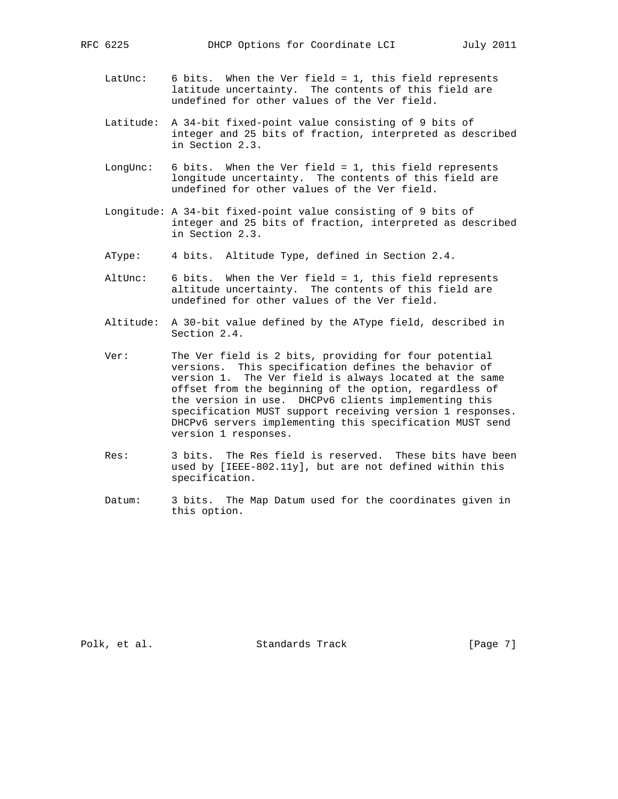- LatUnc: 6 bits. When the Ver field = 1, this field represents latitude uncertainty. The contents of this field are undefined for other values of the Ver field.
- Latitude: A 34-bit fixed-point value consisting of 9 bits of integer and 25 bits of fraction, interpreted as described in Section 2.3.
- LongUnc: 6 bits. When the Ver field = 1, this field represents longitude uncertainty. The contents of this field are undefined for other values of the Ver field.
- Longitude: A 34-bit fixed-point value consisting of 9 bits of integer and 25 bits of fraction, interpreted as described in Section 2.3.
- AType: 4 bits. Altitude Type, defined in Section 2.4.
- AltUnc: 6 bits. When the Ver field = 1, this field represents altitude uncertainty. The contents of this field are undefined for other values of the Ver field.
- Altitude: A 30-bit value defined by the AType field, described in Section 2.4.
- Ver: The Ver field is 2 bits, providing for four potential versions. This specification defines the behavior of version 1. The Ver field is always located at the same offset from the beginning of the option, regardless of the version in use. DHCPv6 clients implementing this specification MUST support receiving version 1 responses. DHCPv6 servers implementing this specification MUST send version 1 responses.
	- Res: 3 bits. The Res field is reserved. These bits have been used by [IEEE-802.11y], but are not defined within this specification.
	- Datum: 3 bits. The Map Datum used for the coordinates given in this option.

Polk, et al. Standards Track [Page 7]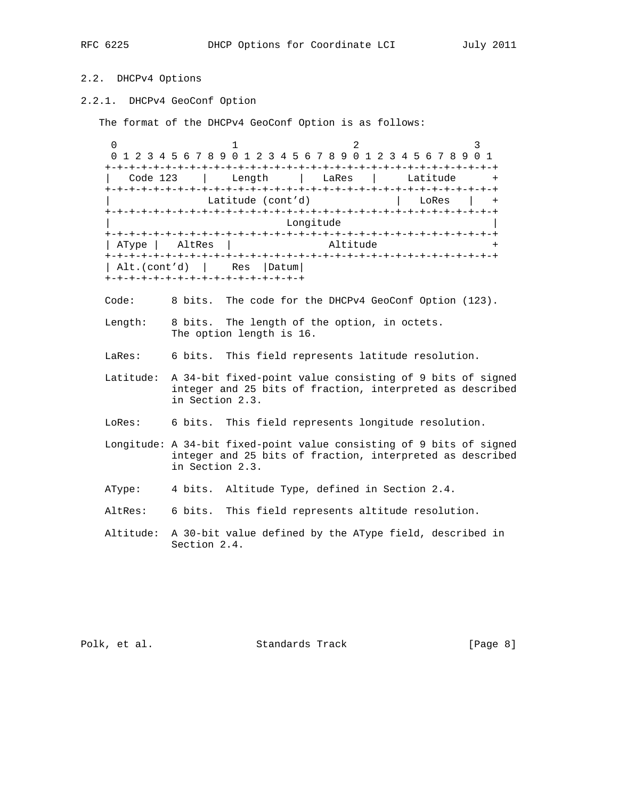# 2.2. DHCPv4 Options

2.2.1. DHCPv4 GeoConf Option

The format of the DHCPv4 GeoConf Option is as follows:

 $0$  1 2 3 0 1 2 3 4 5 6 7 8 9 0 1 2 3 4 5 6 7 8 9 0 1 2 3 4 5 6 7 8 9 0 1 +-+-+-+-+-+-+-+-+-+-+-+-+-+-+-+-+-+-+-+-+-+-+-+-+-+-+-+-+-+-+-+-+ | Code 123 | Length | LaRes | Latitude + +-+-+-+-+-+-+-+-+-+-+-+-+-+-+-+-+-+-+-+-+-+-+-+-+-+-+-+-+-+-+-+-+ Latitude (cont'd) | LoRes | + +-+-+-+-+-+-+-+-+-+-+-+-+-+-+-+-+-+-+-+-+-+-+-+-+-+-+-+-+-+-+-+-+ Longitude +-+-+-+-+-+-+-+-+-+-+-+-+-+-+-+-+-+-+-+-+-+-+-+-+-+-+-+-+-+-+-+-+ | AType | AltRes | Altitude + +-+-+-+-+-+-+-+-+-+-+-+-+-+-+-+-+-+-+-+-+-+-+-+-+-+-+-+-+-+-+-+-+ | Alt.(cont'd) | Res |Datum| +-+-+-+-+-+-+-+-+-+-+-+-+-+-+-+-+

- Code: 8 bits. The code for the DHCPv4 GeoConf Option (123).
- Length: 8 bits. The length of the option, in octets. The option length is 16.
- LaRes: 6 bits. This field represents latitude resolution.
- Latitude: A 34-bit fixed-point value consisting of 9 bits of signed integer and 25 bits of fraction, interpreted as described in Section 2.3.
- LoRes: 6 bits. This field represents longitude resolution.
- Longitude: A 34-bit fixed-point value consisting of 9 bits of signed integer and 25 bits of fraction, interpreted as described in Section 2.3.
- AType: 4 bits. Altitude Type, defined in Section 2.4.
- AltRes: 6 bits. This field represents altitude resolution.
- Altitude: A 30-bit value defined by the AType field, described in Section 2.4.

Polk, et al. Standards Track [Page 8]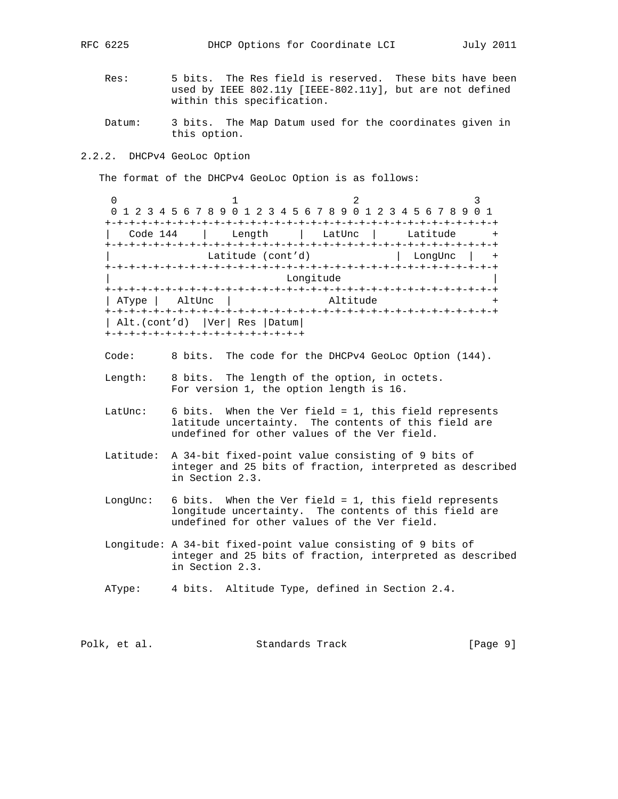- Res: 5 bits. The Res field is reserved. These bits have been used by IEEE 802.11y [IEEE-802.11y], but are not defined within this specification.
- Datum: 3 bits. The Map Datum used for the coordinates given in this option.
- 2.2.2. DHCPv4 GeoLoc Option

The format of the DHCPv4 GeoLoc Option is as follows:

 $0$  and  $1$  and  $2$  3 0 1 2 3 4 5 6 7 8 9 0 1 2 3 4 5 6 7 8 9 0 1 2 3 4 5 6 7 8 9 0 1 +-+-+-+-+-+-+-+-+-+-+-+-+-+-+-+-+-+-+-+-+-+-+-+-+-+-+-+-+-+-+-+-+ | Code 144 | Length | LatUnc | Latitude + +-+-+-+-+-+-+-+-+-+-+-+-+-+-+-+-+-+-+-+-+-+-+-+-+-+-+-+-+-+-+-+-+ Latitude (cont'd) | LongUnc | + +-+-+-+-+-+-+-+-+-+-+-+-+-+-+-+-+-+-+-+-+-+-+-+-+-+-+-+-+-+-+-+-+ Longitude +-+-+-+-+-+-+-+-+-+-+-+-+-+-+-+-+-+-+-+-+-+-+-+-+-+-+-+-+-+-+-+-+ | AType | AltUnc | Altitude + +-+-+-+-+-+-+-+-+-+-+-+-+-+-+-+-+-+-+-+-+-+-+-+-+-+-+-+-+-+-+-+-+ | Alt.(cont'd) |Ver| Res |Datum| +-+-+-+-+-+-+-+-+-+-+-+-+-+-+-+-+

Code: 8 bits. The code for the DHCPv4 GeoLoc Option (144).

- Length: 8 bits. The length of the option, in octets. For version 1, the option length is 16.
- LatUnc: 6 bits. When the Ver field = 1, this field represents latitude uncertainty. The contents of this field are undefined for other values of the Ver field.
- Latitude: A 34-bit fixed-point value consisting of 9 bits of integer and 25 bits of fraction, interpreted as described in Section 2.3.
- LongUnc: 6 bits. When the Ver field = 1, this field represents longitude uncertainty. The contents of this field are undefined for other values of the Ver field.
- Longitude: A 34-bit fixed-point value consisting of 9 bits of integer and 25 bits of fraction, interpreted as described in Section 2.3.
- AType: 4 bits. Altitude Type, defined in Section 2.4.

|  | Polk, et al. | Standards Track | [Page 9] |
|--|--------------|-----------------|----------|
|--|--------------|-----------------|----------|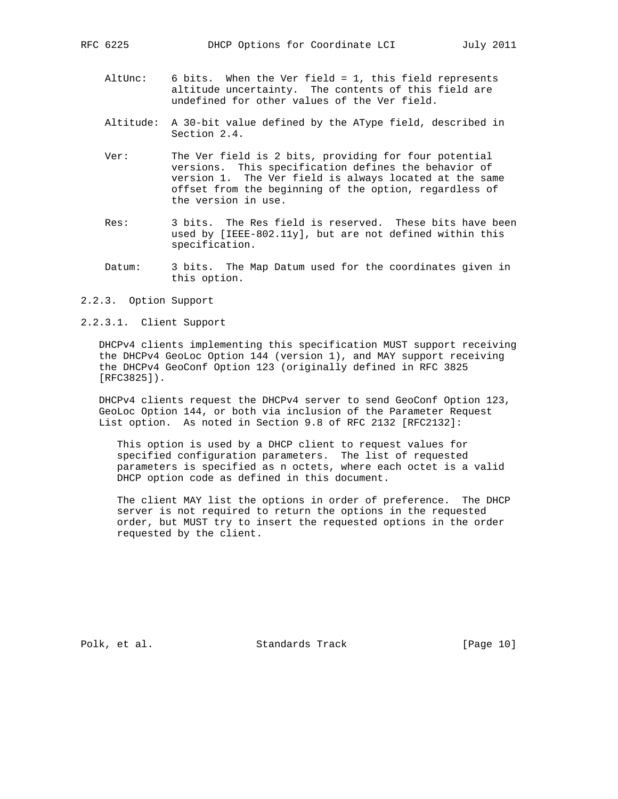- AltUnc: 6 bits. When the Ver field = 1, this field represents altitude uncertainty. The contents of this field are undefined for other values of the Ver field.
- Altitude: A 30-bit value defined by the AType field, described in Section 2.4.
- Ver: The Ver field is 2 bits, providing for four potential versions. This specification defines the behavior of version 1. The Ver field is always located at the same offset from the beginning of the option, regardless of the version in use.
- Res: 3 bits. The Res field is reserved. These bits have been used by [IEEE-802.11y], but are not defined within this specification.
- Datum: 3 bits. The Map Datum used for the coordinates given in this option.
- 2.2.3. Option Support
- 2.2.3.1. Client Support

 DHCPv4 clients implementing this specification MUST support receiving the DHCPv4 GeoLoc Option 144 (version 1), and MAY support receiving the DHCPv4 GeoConf Option 123 (originally defined in RFC 3825 [RFC3825]).

 DHCPv4 clients request the DHCPv4 server to send GeoConf Option 123, GeoLoc Option 144, or both via inclusion of the Parameter Request List option. As noted in Section 9.8 of RFC 2132 [RFC2132]:

 This option is used by a DHCP client to request values for specified configuration parameters. The list of requested parameters is specified as n octets, where each octet is a valid DHCP option code as defined in this document.

 The client MAY list the options in order of preference. The DHCP server is not required to return the options in the requested order, but MUST try to insert the requested options in the order requested by the client.

Polk, et al. Standards Track [Page 10]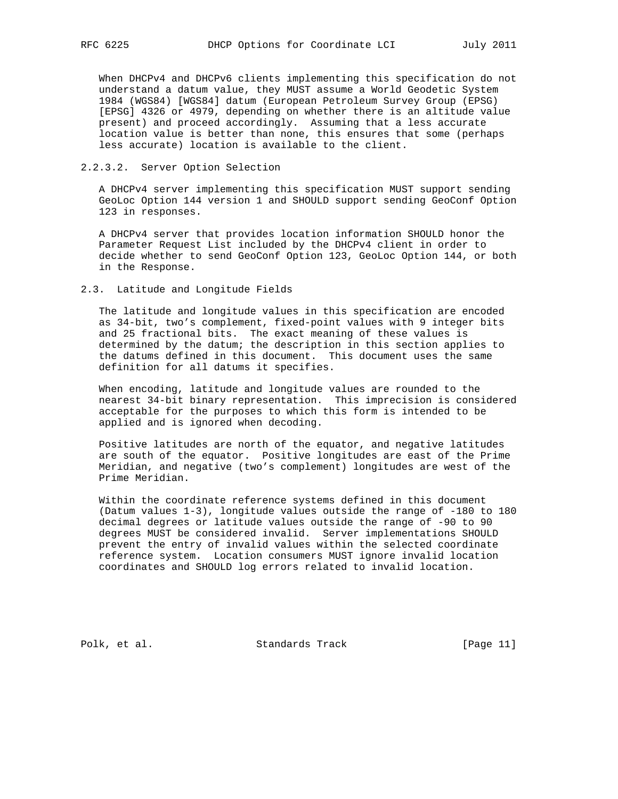When DHCPv4 and DHCPv6 clients implementing this specification do not understand a datum value, they MUST assume a World Geodetic System 1984 (WGS84) [WGS84] datum (European Petroleum Survey Group (EPSG) [EPSG] 4326 or 4979, depending on whether there is an altitude value present) and proceed accordingly. Assuming that a less accurate location value is better than none, this ensures that some (perhaps less accurate) location is available to the client.

# 2.2.3.2. Server Option Selection

 A DHCPv4 server implementing this specification MUST support sending GeoLoc Option 144 version 1 and SHOULD support sending GeoConf Option 123 in responses.

 A DHCPv4 server that provides location information SHOULD honor the Parameter Request List included by the DHCPv4 client in order to decide whether to send GeoConf Option 123, GeoLoc Option 144, or both in the Response.

#### 2.3. Latitude and Longitude Fields

 The latitude and longitude values in this specification are encoded as 34-bit, two's complement, fixed-point values with 9 integer bits and 25 fractional bits. The exact meaning of these values is determined by the datum; the description in this section applies to the datums defined in this document. This document uses the same definition for all datums it specifies.

 When encoding, latitude and longitude values are rounded to the nearest 34-bit binary representation. This imprecision is considered acceptable for the purposes to which this form is intended to be applied and is ignored when decoding.

 Positive latitudes are north of the equator, and negative latitudes are south of the equator. Positive longitudes are east of the Prime Meridian, and negative (two's complement) longitudes are west of the Prime Meridian.

 Within the coordinate reference systems defined in this document (Datum values 1-3), longitude values outside the range of -180 to 180 decimal degrees or latitude values outside the range of -90 to 90 degrees MUST be considered invalid. Server implementations SHOULD prevent the entry of invalid values within the selected coordinate reference system. Location consumers MUST ignore invalid location coordinates and SHOULD log errors related to invalid location.

Polk, et al. Standards Track [Page 11]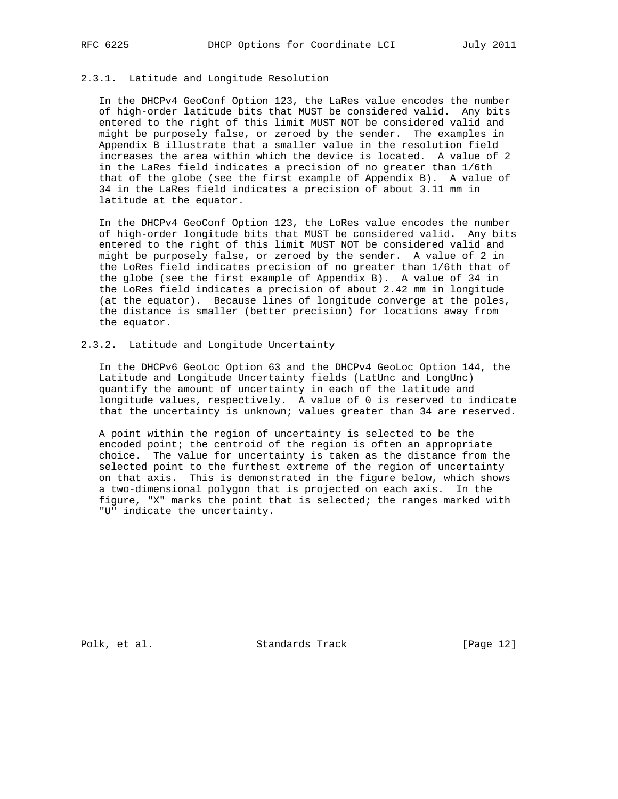# 2.3.1. Latitude and Longitude Resolution

 In the DHCPv4 GeoConf Option 123, the LaRes value encodes the number of high-order latitude bits that MUST be considered valid. Any bits entered to the right of this limit MUST NOT be considered valid and might be purposely false, or zeroed by the sender. The examples in Appendix B illustrate that a smaller value in the resolution field increases the area within which the device is located. A value of 2 in the LaRes field indicates a precision of no greater than 1/6th that of the globe (see the first example of Appendix B). A value of 34 in the LaRes field indicates a precision of about 3.11 mm in latitude at the equator.

 In the DHCPv4 GeoConf Option 123, the LoRes value encodes the number of high-order longitude bits that MUST be considered valid. Any bits entered to the right of this limit MUST NOT be considered valid and might be purposely false, or zeroed by the sender. A value of 2 in the LoRes field indicates precision of no greater than 1/6th that of the globe (see the first example of Appendix B). A value of 34 in the LoRes field indicates a precision of about 2.42 mm in longitude (at the equator). Because lines of longitude converge at the poles, the distance is smaller (better precision) for locations away from the equator.

# 2.3.2. Latitude and Longitude Uncertainty

 In the DHCPv6 GeoLoc Option 63 and the DHCPv4 GeoLoc Option 144, the Latitude and Longitude Uncertainty fields (LatUnc and LongUnc) quantify the amount of uncertainty in each of the latitude and longitude values, respectively. A value of 0 is reserved to indicate that the uncertainty is unknown; values greater than 34 are reserved.

 A point within the region of uncertainty is selected to be the encoded point; the centroid of the region is often an appropriate choice. The value for uncertainty is taken as the distance from the selected point to the furthest extreme of the region of uncertainty on that axis. This is demonstrated in the figure below, which shows a two-dimensional polygon that is projected on each axis. In the figure, "X" marks the point that is selected; the ranges marked with "U" indicate the uncertainty.

Polk, et al. Standards Track [Page 12]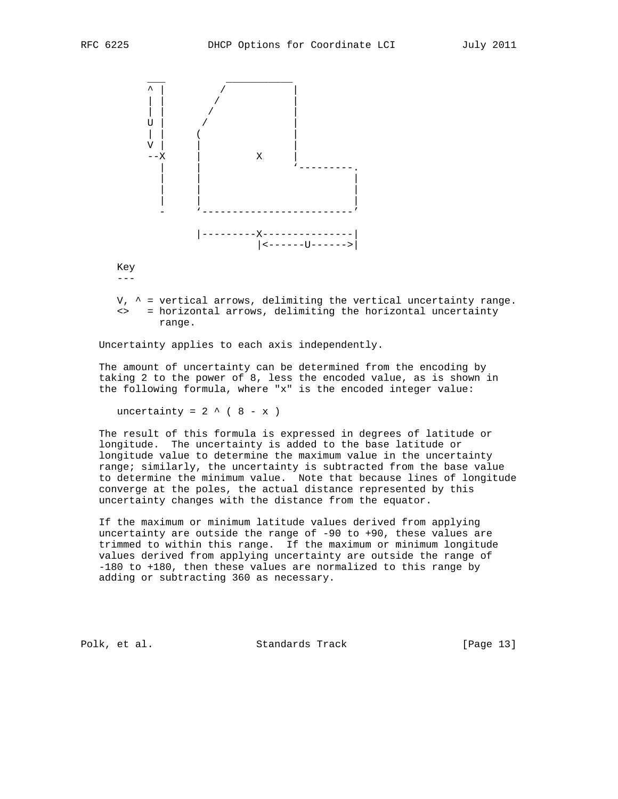

 Key  $--$ 

 $V,$   $\sim$  = vertical arrows, delimiting the vertical uncertainty range. <> = horizontal arrows, delimiting the horizontal uncertainty range.

Uncertainty applies to each axis independently.

 The amount of uncertainty can be determined from the encoding by taking 2 to the power of 8, less the encoded value, as is shown in the following formula, where "x" is the encoded integer value:

uncertainty =  $2 \wedge (8 - x)$ 

 The result of this formula is expressed in degrees of latitude or longitude. The uncertainty is added to the base latitude or longitude value to determine the maximum value in the uncertainty range; similarly, the uncertainty is subtracted from the base value to determine the minimum value. Note that because lines of longitude converge at the poles, the actual distance represented by this uncertainty changes with the distance from the equator.

 If the maximum or minimum latitude values derived from applying uncertainty are outside the range of -90 to +90, these values are trimmed to within this range. If the maximum or minimum longitude values derived from applying uncertainty are outside the range of -180 to +180, then these values are normalized to this range by adding or subtracting 360 as necessary.

Polk, et al. Standards Track [Page 13]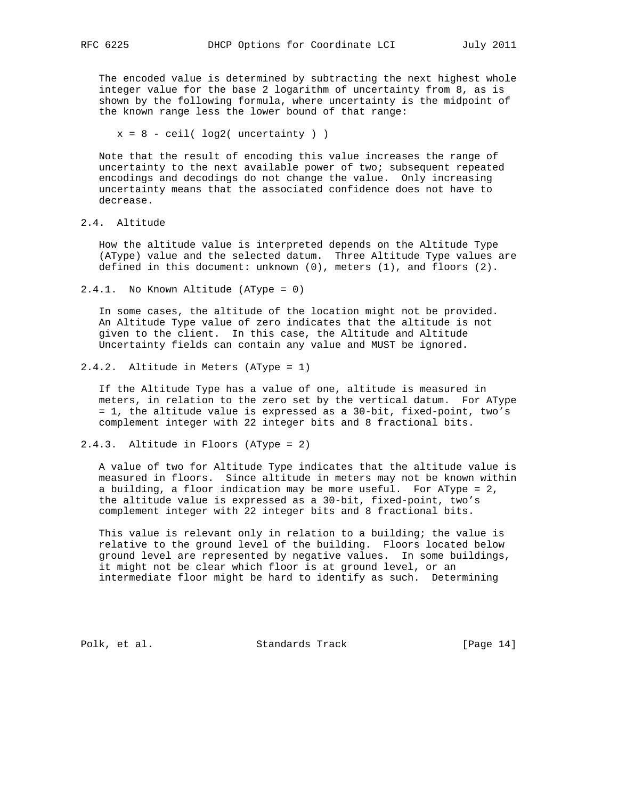The encoded value is determined by subtracting the next highest whole integer value for the base 2 logarithm of uncertainty from 8, as is shown by the following formula, where uncertainty is the midpoint of the known range less the lower bound of that range:

 $x = 8 - \text{ceil}( \log 2(\text{uncertainty}) )$ 

 Note that the result of encoding this value increases the range of uncertainty to the next available power of two; subsequent repeated encodings and decodings do not change the value. Only increasing uncertainty means that the associated confidence does not have to decrease.

2.4. Altitude

 How the altitude value is interpreted depends on the Altitude Type (AType) value and the selected datum. Three Altitude Type values are defined in this document: unknown (0), meters (1), and floors (2).

2.4.1. No Known Altitude (AType = 0)

 In some cases, the altitude of the location might not be provided. An Altitude Type value of zero indicates that the altitude is not given to the client. In this case, the Altitude and Altitude Uncertainty fields can contain any value and MUST be ignored.

2.4.2. Altitude in Meters (AType = 1)

 If the Altitude Type has a value of one, altitude is measured in meters, in relation to the zero set by the vertical datum. For AType = 1, the altitude value is expressed as a 30-bit, fixed-point, two's complement integer with 22 integer bits and 8 fractional bits.

2.4.3. Altitude in Floors (AType = 2)

 A value of two for Altitude Type indicates that the altitude value is measured in floors. Since altitude in meters may not be known within a building, a floor indication may be more useful. For AType = 2, the altitude value is expressed as a 30-bit, fixed-point, two's complement integer with 22 integer bits and 8 fractional bits.

 This value is relevant only in relation to a building; the value is relative to the ground level of the building. Floors located below ground level are represented by negative values. In some buildings, it might not be clear which floor is at ground level, or an intermediate floor might be hard to identify as such. Determining

Polk, et al. Standards Track [Page 14]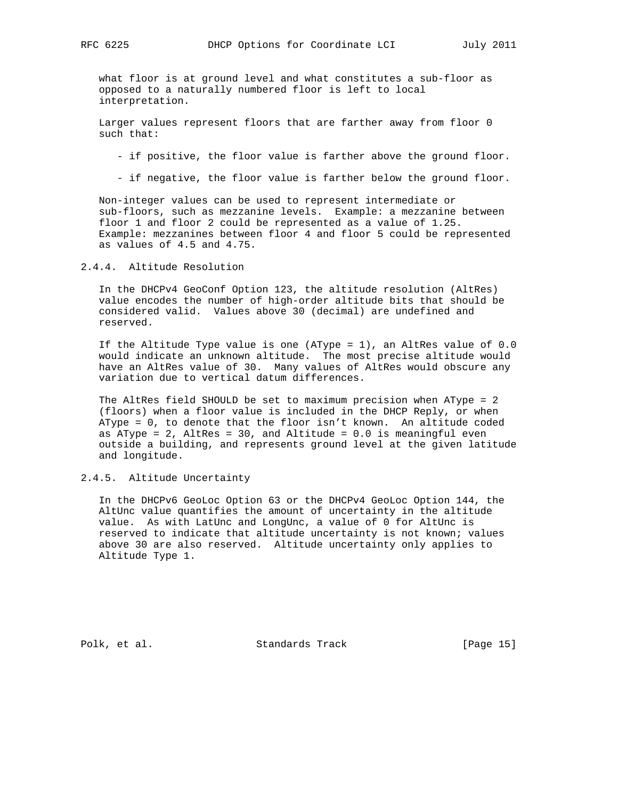what floor is at ground level and what constitutes a sub-floor as opposed to a naturally numbered floor is left to local interpretation.

 Larger values represent floors that are farther away from floor 0 such that:

- if positive, the floor value is farther above the ground floor.

- if negative, the floor value is farther below the ground floor.

 Non-integer values can be used to represent intermediate or sub-floors, such as mezzanine levels. Example: a mezzanine between floor 1 and floor 2 could be represented as a value of 1.25. Example: mezzanines between floor 4 and floor 5 could be represented as values of 4.5 and 4.75.

2.4.4. Altitude Resolution

 In the DHCPv4 GeoConf Option 123, the altitude resolution (AltRes) value encodes the number of high-order altitude bits that should be considered valid. Values above 30 (decimal) are undefined and reserved.

 If the Altitude Type value is one (AType = 1), an AltRes value of 0.0 would indicate an unknown altitude. The most precise altitude would have an AltRes value of 30. Many values of AltRes would obscure any variation due to vertical datum differences.

 The AltRes field SHOULD be set to maximum precision when AType = 2 (floors) when a floor value is included in the DHCP Reply, or when AType = 0, to denote that the floor isn't known. An altitude coded as AType =  $2$ , AltRes =  $30$ , and Altitude =  $0.0$  is meaningful even outside a building, and represents ground level at the given latitude and longitude.

2.4.5. Altitude Uncertainty

 In the DHCPv6 GeoLoc Option 63 or the DHCPv4 GeoLoc Option 144, the AltUnc value quantifies the amount of uncertainty in the altitude value. As with LatUnc and LongUnc, a value of 0 for AltUnc is reserved to indicate that altitude uncertainty is not known; values above 30 are also reserved. Altitude uncertainty only applies to Altitude Type 1.

Polk, et al. Standards Track [Page 15]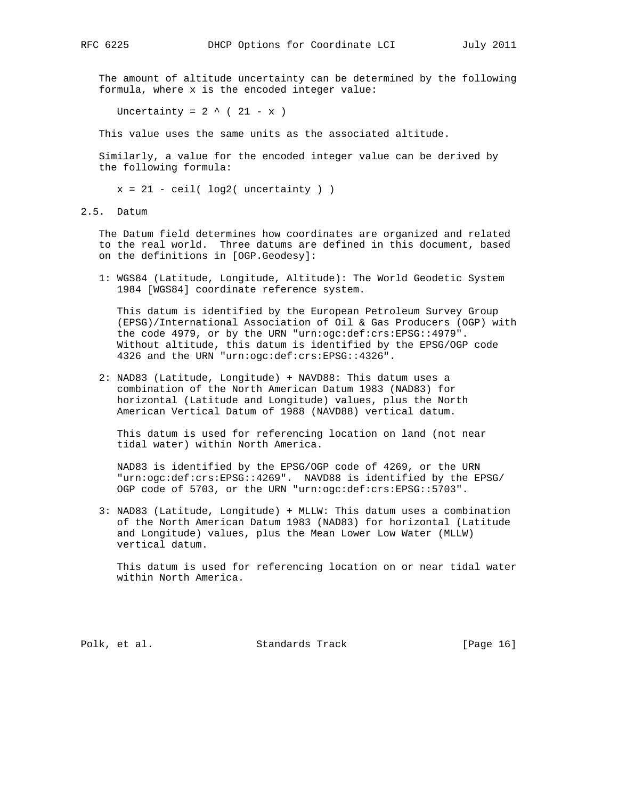The amount of altitude uncertainty can be determined by the following formula, where x is the encoded integer value:

Uncertainty =  $2 \wedge (21 - x)$ 

This value uses the same units as the associated altitude.

 Similarly, a value for the encoded integer value can be derived by the following formula:

 $x = 21 - \text{ceil}(\text{log}2(\text{uncertainty}))$ 

2.5. Datum

 The Datum field determines how coordinates are organized and related to the real world. Three datums are defined in this document, based on the definitions in [OGP.Geodesy]:

 1: WGS84 (Latitude, Longitude, Altitude): The World Geodetic System 1984 [WGS84] coordinate reference system.

 This datum is identified by the European Petroleum Survey Group (EPSG)/International Association of Oil & Gas Producers (OGP) with the code 4979, or by the URN "urn:ogc:def:crs:EPSG::4979". Without altitude, this datum is identified by the EPSG/OGP code 4326 and the URN "urn:ogc:def:crs:EPSG::4326".

 2: NAD83 (Latitude, Longitude) + NAVD88: This datum uses a combination of the North American Datum 1983 (NAD83) for horizontal (Latitude and Longitude) values, plus the North American Vertical Datum of 1988 (NAVD88) vertical datum.

 This datum is used for referencing location on land (not near tidal water) within North America.

 NAD83 is identified by the EPSG/OGP code of 4269, or the URN "urn:ogc:def:crs:EPSG::4269". NAVD88 is identified by the EPSG/ OGP code of 5703, or the URN "urn:ogc:def:crs:EPSG::5703".

 3: NAD83 (Latitude, Longitude) + MLLW: This datum uses a combination of the North American Datum 1983 (NAD83) for horizontal (Latitude and Longitude) values, plus the Mean Lower Low Water (MLLW) vertical datum.

 This datum is used for referencing location on or near tidal water within North America.

Polk, et al. Standards Track [Page 16]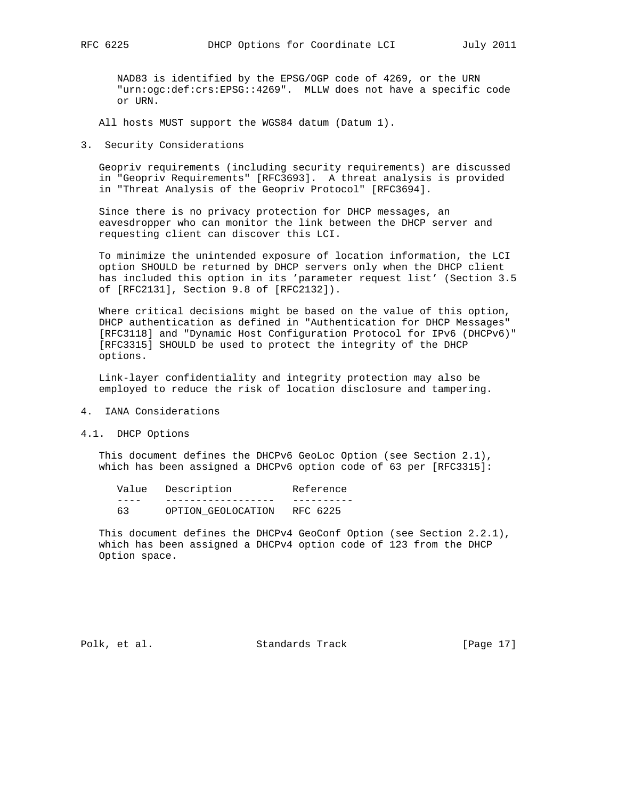NAD83 is identified by the EPSG/OGP code of 4269, or the URN "urn:ogc:def:crs:EPSG::4269". MLLW does not have a specific code or URN.

All hosts MUST support the WGS84 datum (Datum 1).

3. Security Considerations

 Geopriv requirements (including security requirements) are discussed in "Geopriv Requirements" [RFC3693]. A threat analysis is provided in "Threat Analysis of the Geopriv Protocol" [RFC3694].

 Since there is no privacy protection for DHCP messages, an eavesdropper who can monitor the link between the DHCP server and requesting client can discover this LCI.

 To minimize the unintended exposure of location information, the LCI option SHOULD be returned by DHCP servers only when the DHCP client has included this option in its 'parameter request list' (Section 3.5 of [RFC2131], Section 9.8 of [RFC2132]).

 Where critical decisions might be based on the value of this option, DHCP authentication as defined in "Authentication for DHCP Messages" [RFC3118] and "Dynamic Host Configuration Protocol for IPv6 (DHCPv6)" [RFC3315] SHOULD be used to protect the integrity of the DHCP options.

 Link-layer confidentiality and integrity protection may also be employed to reduce the risk of location disclosure and tampering.

- 4. IANA Considerations
- 4.1. DHCP Options

 This document defines the DHCPv6 GeoLoc Option (see Section 2.1), which has been assigned a DHCPv6 option code of 63 per [RFC3315]:

| Value | Description        | Reference |
|-------|--------------------|-----------|
|       |                    |           |
| 63    | OPTION GEOLOCATION | RFC 6225  |

 This document defines the DHCPv4 GeoConf Option (see Section 2.2.1), which has been assigned a DHCPv4 option code of 123 from the DHCP Option space.

Polk, et al. Standards Track [Page 17]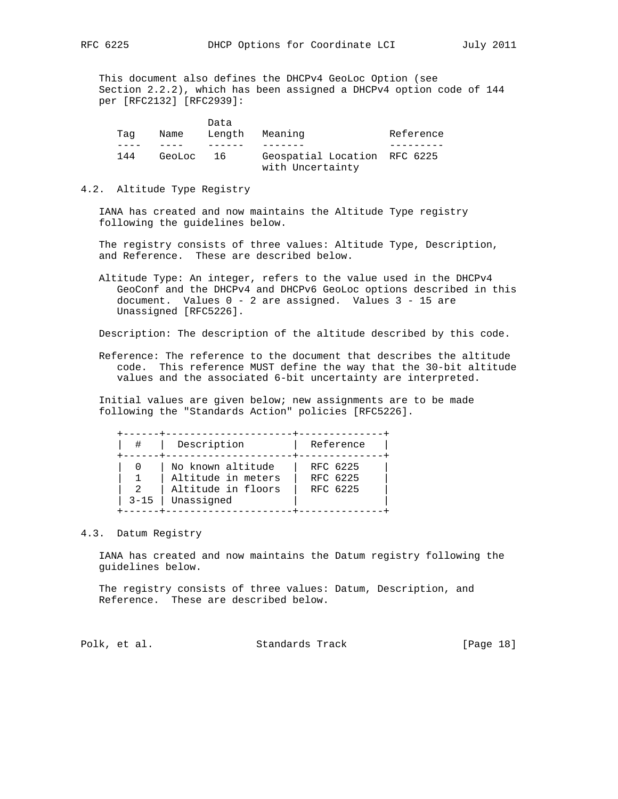This document also defines the DHCPv4 GeoLoc Option (see Section 2.2.2), which has been assigned a DHCPv4 option code of 144 per [RFC2132] [RFC2939]:

|        | Data   |                              |                  |
|--------|--------|------------------------------|------------------|
| Name   | Lenath | Meaning                      | Reference        |
|        |        |                              |                  |
| GeoLoc | - 16   | Geospatial Location RFC 6225 |                  |
|        |        |                              | with Uncertainty |

# 4.2. Altitude Type Registry

 IANA has created and now maintains the Altitude Type registry following the guidelines below.

 The registry consists of three values: Altitude Type, Description, and Reference. These are described below.

 Altitude Type: An integer, refers to the value used in the DHCPv4 GeoConf and the DHCPv4 and DHCPv6 GeoLoc options described in this document. Values 0 - 2 are assigned. Values 3 - 15 are Unassigned [RFC5226].

Description: The description of the altitude described by this code.

 Reference: The reference to the document that describes the altitude code. This reference MUST define the way that the 30-bit altitude values and the associated 6-bit uncertainty are interpreted.

 Initial values are given below; new assignments are to be made following the "Standards Action" policies [RFC5226].

| $3 - 15$ |
|----------|

# 4.3. Datum Registry

 IANA has created and now maintains the Datum registry following the guidelines below.

 The registry consists of three values: Datum, Description, and Reference. These are described below.

Polk, et al. Standards Track [Page 18]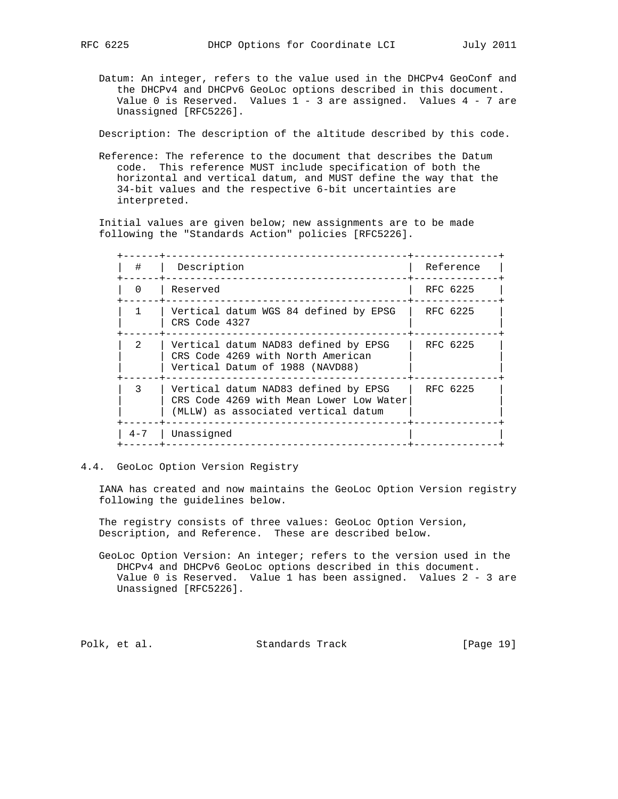Datum: An integer, refers to the value used in the DHCPv4 GeoConf and the DHCPv4 and DHCPv6 GeoLoc options described in this document. Value 0 is Reserved. Values 1 - 3 are assigned. Values 4 - 7 are Unassigned [RFC5226].

Description: The description of the altitude described by this code.

 Reference: The reference to the document that describes the Datum code. This reference MUST include specification of both the horizontal and vertical datum, and MUST define the way that the 34-bit values and the respective 6-bit uncertainties are interpreted.

 Initial values are given below; new assignments are to be made following the "Standards Action" policies [RFC5226].

| #             | Description                                                                                                            | Reference |
|---------------|------------------------------------------------------------------------------------------------------------------------|-----------|
| $\Omega$      | Reserved                                                                                                               | RFC 6225  |
|               | Vertical datum WGS 84 defined by EPSG<br>CRS Code 4327                                                                 | RFC 6225  |
| $\mathcal{L}$ | Vertical datum NAD83 defined by EPSG<br>CRS Code 4269 with North American<br>Vertical Datum of 1988 (NAVD88)           | RFC 6225  |
|               | Vertical datum NAD83 defined by EPSG<br>CRS Code 4269 with Mean Lower Low Water<br>(MLLW) as associated vertical datum | RFC 6225  |
| $4 - 7$       | Unassigned                                                                                                             |           |

4.4. GeoLoc Option Version Registry

 IANA has created and now maintains the GeoLoc Option Version registry following the guidelines below.

 The registry consists of three values: GeoLoc Option Version, Description, and Reference. These are described below.

 GeoLoc Option Version: An integer; refers to the version used in the DHCPv4 and DHCPv6 GeoLoc options described in this document. Value 0 is Reserved. Value 1 has been assigned. Values 2 - 3 are Unassigned [RFC5226].

Polk, et al. Standards Track [Page 19]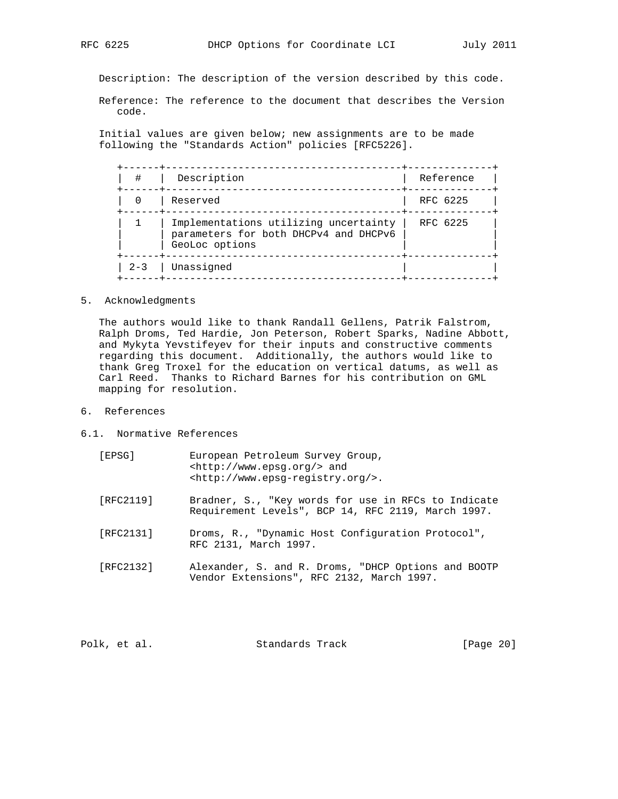Description: The description of the version described by this code.

 Reference: The reference to the document that describes the Version code.

 Initial values are given below; new assignments are to be made following the "Standards Action" policies [RFC5226].

| #       | Description                                                                                      | Reference |
|---------|--------------------------------------------------------------------------------------------------|-----------|
|         | Reserved                                                                                         | RFC 6225  |
|         | Implementations utilizing uncertainty<br>parameters for both DHCPv4 and DHCPv6<br>GeoLoc options | RFC 6225  |
| $2 - 3$ | Unassigned                                                                                       |           |

# 5. Acknowledgments

 The authors would like to thank Randall Gellens, Patrik Falstrom, Ralph Droms, Ted Hardie, Jon Peterson, Robert Sparks, Nadine Abbott, and Mykyta Yevstifeyev for their inputs and constructive comments regarding this document. Additionally, the authors would like to thank Greg Troxel for the education on vertical datums, as well as Carl Reed. Thanks to Richard Barnes for his contribution on GML mapping for resolution.

- 6. References
- 6.1. Normative References

| [EPSG]    | European Petroleum Survey Group,<br>$\text{chttp:} //$ www.epsq.orq/> and<br><http: www.epsq-reqistry.org=""></http:> . |
|-----------|-------------------------------------------------------------------------------------------------------------------------|
| [RFC2119] | Bradner, S., "Key words for use in RFCs to Indicate<br>Requirement Levels", BCP 14, RFC 2119, March 1997.               |
| [RFC2131] | Droms, R., "Dynamic Host Configuration Protocol",<br>RFC 2131, March 1997.                                              |
| [RFC2132] | Alexander, S. and R. Droms, "DHCP Options and BOOTP<br>Vendor Extensions", RFC 2132, March 1997.                        |

Polk, et al. Standards Track [Page 20]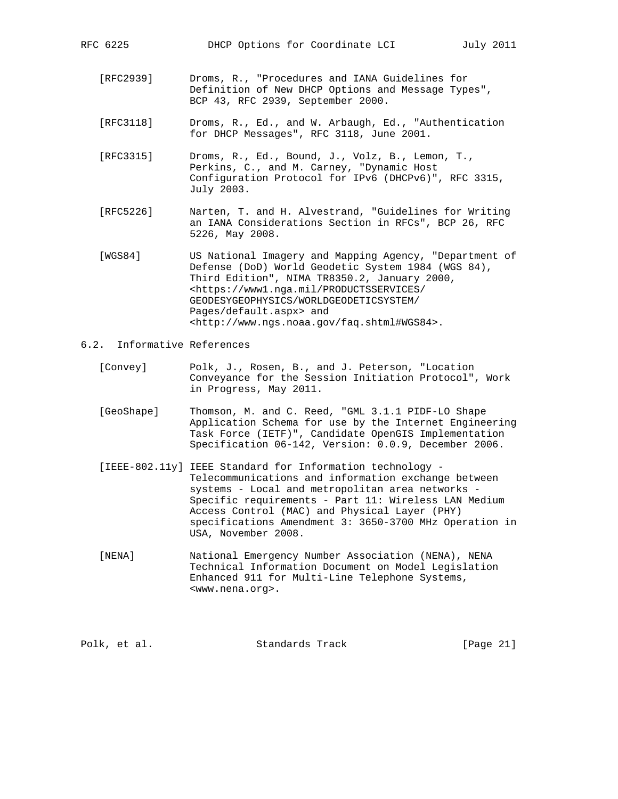- [RFC2939] Droms, R., "Procedures and IANA Guidelines for Definition of New DHCP Options and Message Types", BCP 43, RFC 2939, September 2000.
- [RFC3118] Droms, R., Ed., and W. Arbaugh, Ed., "Authentication for DHCP Messages", RFC 3118, June 2001.
- [RFC3315] Droms, R., Ed., Bound, J., Volz, B., Lemon, T., Perkins, C., and M. Carney, "Dynamic Host Configuration Protocol for IPv6 (DHCPv6)", RFC 3315, July 2003.
- [RFC5226] Narten, T. and H. Alvestrand, "Guidelines for Writing an IANA Considerations Section in RFCs", BCP 26, RFC 5226, May 2008.
- [WGS84] US National Imagery and Mapping Agency, "Department of Defense (DoD) World Geodetic System 1984 (WGS 84), Third Edition", NIMA TR8350.2, January 2000, <https://www1.nga.mil/PRODUCTSSERVICES/ GEODESYGEOPHYSICS/WORLDGEODETICSYSTEM/ Pages/default.aspx> and <http://www.ngs.noaa.gov/faq.shtml#WGS84>.
- 6.2. Informative References
	- [Convey] Polk, J., Rosen, B., and J. Peterson, "Location Conveyance for the Session Initiation Protocol", Work in Progress, May 2011.
	- [GeoShape] Thomson, M. and C. Reed, "GML 3.1.1 PIDF-LO Shape Application Schema for use by the Internet Engineering Task Force (IETF)", Candidate OpenGIS Implementation Specification 06-142, Version: 0.0.9, December 2006.
	- [IEEE-802.11y] IEEE Standard for Information technology Telecommunications and information exchange between systems - Local and metropolitan area networks - Specific requirements - Part 11: Wireless LAN Medium Access Control (MAC) and Physical Layer (PHY) specifications Amendment 3: 3650-3700 MHz Operation in USA, November 2008.
	- [NENA] National Emergency Number Association (NENA), NENA Technical Information Document on Model Legislation Enhanced 911 for Multi-Line Telephone Systems, <www.nena.org>.

Polk, et al. Standards Track [Page 21]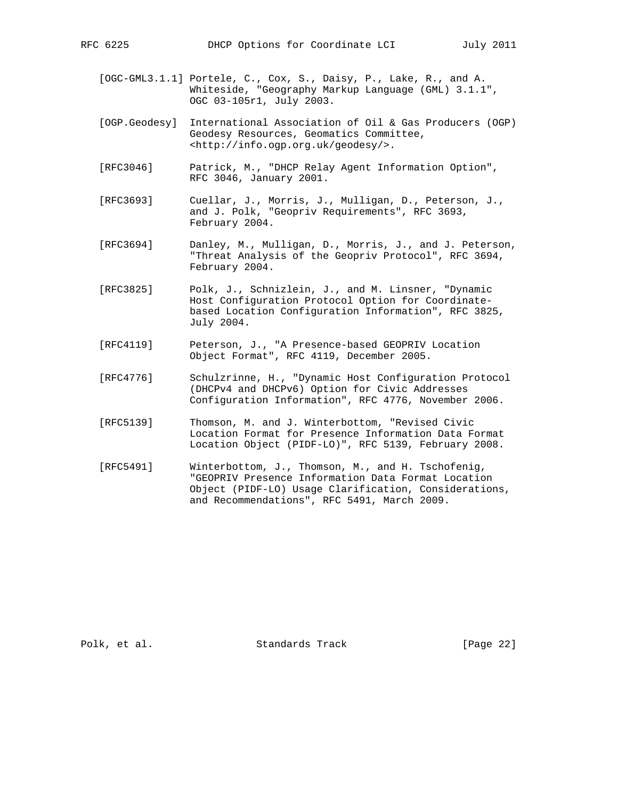- 
- [OGC-GML3.1.1] Portele, C., Cox, S., Daisy, P., Lake, R., and A. Whiteside, "Geography Markup Language (GML) 3.1.1", OGC 03-105r1, July 2003.
- [OGP.Geodesy] International Association of Oil & Gas Producers (OGP) Geodesy Resources, Geomatics Committee, <http://info.ogp.org.uk/geodesy/>.
- [RFC3046] Patrick, M., "DHCP Relay Agent Information Option", RFC 3046, January 2001.
- [RFC3693] Cuellar, J., Morris, J., Mulligan, D., Peterson, J., and J. Polk, "Geopriv Requirements", RFC 3693, February 2004.
- [RFC3694] Danley, M., Mulligan, D., Morris, J., and J. Peterson, "Threat Analysis of the Geopriv Protocol", RFC 3694, February 2004.
- [RFC3825] Polk, J., Schnizlein, J., and M. Linsner, "Dynamic Host Configuration Protocol Option for Coordinate based Location Configuration Information", RFC 3825, July 2004.
- [RFC4119] Peterson, J., "A Presence-based GEOPRIV Location Object Format", RFC 4119, December 2005.
- [RFC4776] Schulzrinne, H., "Dynamic Host Configuration Protocol (DHCPv4 and DHCPv6) Option for Civic Addresses Configuration Information", RFC 4776, November 2006.
- [RFC5139] Thomson, M. and J. Winterbottom, "Revised Civic Location Format for Presence Information Data Format Location Object (PIDF-LO)", RFC 5139, February 2008.
- [RFC5491] Winterbottom, J., Thomson, M., and H. Tschofenig, "GEOPRIV Presence Information Data Format Location Object (PIDF-LO) Usage Clarification, Considerations, and Recommendations", RFC 5491, March 2009.

Polk, et al. Standards Track [Page 22]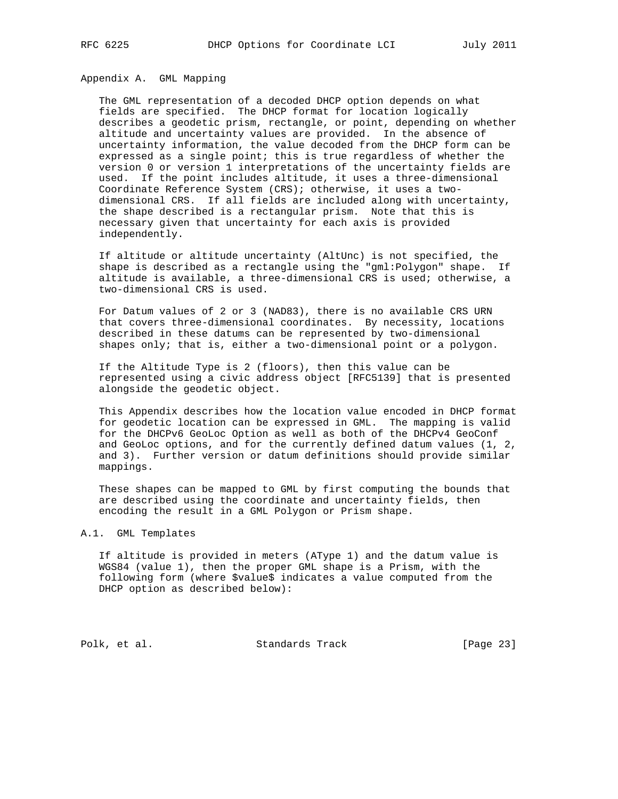Appendix A. GML Mapping

 The GML representation of a decoded DHCP option depends on what fields are specified. The DHCP format for location logically describes a geodetic prism, rectangle, or point, depending on whether altitude and uncertainty values are provided. In the absence of uncertainty information, the value decoded from the DHCP form can be expressed as a single point; this is true regardless of whether the version 0 or version 1 interpretations of the uncertainty fields are used. If the point includes altitude, it uses a three-dimensional Coordinate Reference System (CRS); otherwise, it uses a two dimensional CRS. If all fields are included along with uncertainty, the shape described is a rectangular prism. Note that this is necessary given that uncertainty for each axis is provided independently.

 If altitude or altitude uncertainty (AltUnc) is not specified, the shape is described as a rectangle using the "gml:Polygon" shape. If altitude is available, a three-dimensional CRS is used; otherwise, a two-dimensional CRS is used.

 For Datum values of 2 or 3 (NAD83), there is no available CRS URN that covers three-dimensional coordinates. By necessity, locations described in these datums can be represented by two-dimensional shapes only; that is, either a two-dimensional point or a polygon.

 If the Altitude Type is 2 (floors), then this value can be represented using a civic address object [RFC5139] that is presented alongside the geodetic object.

 This Appendix describes how the location value encoded in DHCP format for geodetic location can be expressed in GML. The mapping is valid for the DHCPv6 GeoLoc Option as well as both of the DHCPv4 GeoConf and GeoLoc options, and for the currently defined datum values (1, 2, and 3). Further version or datum definitions should provide similar mappings.

 These shapes can be mapped to GML by first computing the bounds that are described using the coordinate and uncertainty fields, then encoding the result in a GML Polygon or Prism shape.

# A.1. GML Templates

 If altitude is provided in meters (AType 1) and the datum value is WGS84 (value 1), then the proper GML shape is a Prism, with the following form (where \$value\$ indicates a value computed from the DHCP option as described below):

Polk, et al. Standards Track [Page 23]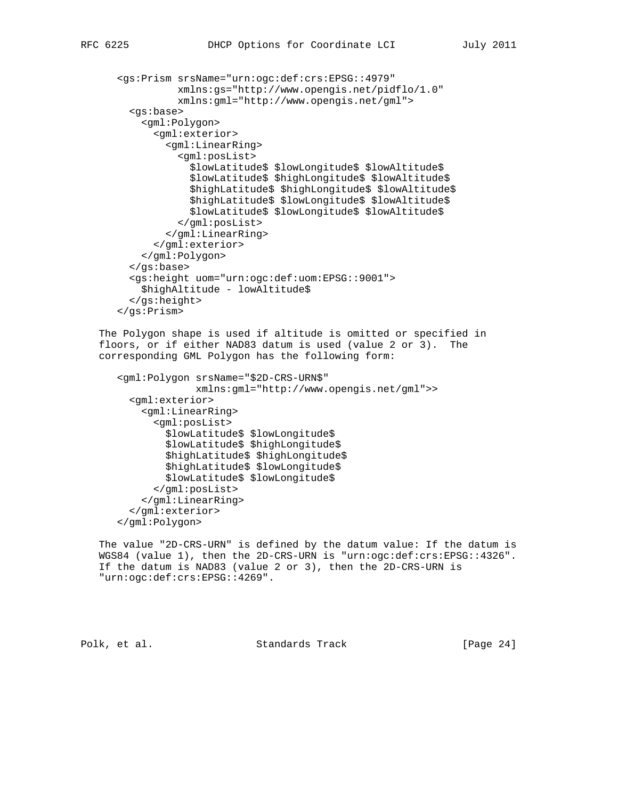```
 <gs:Prism srsName="urn:ogc:def:crs:EPSG::4979"
           xmlns:gs="http://www.opengis.net/pidflo/1.0"
           xmlns:gml="http://www.opengis.net/gml">
   <gs:base>
     <gml:Polygon>
       <gml:exterior>
         <gml:LinearRing>
           <gml:posList>
             $lowLatitude$ $lowLongitude$ $lowAltitude$
             $lowLatitude$ $highLongitude$ $lowAltitude$
             $highLatitude$ $highLongitude$ $lowAltitude$
             $highLatitude$ $lowLongitude$ $lowAltitude$
             $lowLatitude$ $lowLongitude$ $lowAltitude$
           </gml:posList>
         </gml:LinearRing>
       </gml:exterior>
     </gml:Polygon>
   </gs:base>
   <gs:height uom="urn:ogc:def:uom:EPSG::9001">
    $highAltitude - lowAltitude$
   </gs:height>
 </gs:Prism>
```
 The Polygon shape is used if altitude is omitted or specified in floors, or if either NAD83 datum is used (value 2 or 3). The corresponding GML Polygon has the following form:

```
 <gml:Polygon srsName="$2D-CRS-URN$"
              xmlns:gml="http://www.opengis.net/gml">>
   <gml:exterior>
     <gml:LinearRing>
       <gml:posList>
         $lowLatitude$ $lowLongitude$
         $lowLatitude$ $highLongitude$
         $highLatitude$ $highLongitude$
         $highLatitude$ $lowLongitude$
         $lowLatitude$ $lowLongitude$
       </gml:posList>
     </gml:LinearRing>
   </gml:exterior>
 </gml:Polygon>
```
 The value "2D-CRS-URN" is defined by the datum value: If the datum is WGS84 (value 1), then the 2D-CRS-URN is "urn:ogc:def:crs:EPSG::4326". If the datum is NAD83 (value 2 or 3), then the 2D-CRS-URN is "urn:ogc:def:crs:EPSG::4269".

Polk, et al. Standards Track [Page 24]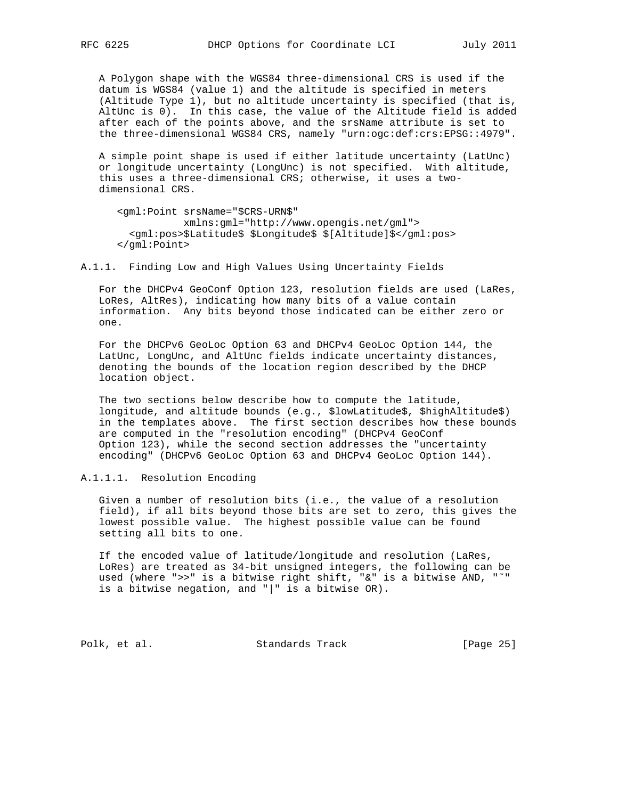A Polygon shape with the WGS84 three-dimensional CRS is used if the datum is WGS84 (value 1) and the altitude is specified in meters (Altitude Type 1), but no altitude uncertainty is specified (that is, AltUnc is 0). In this case, the value of the Altitude field is added after each of the points above, and the srsName attribute is set to the three-dimensional WGS84 CRS, namely "urn:ogc:def:crs:EPSG::4979".

 A simple point shape is used if either latitude uncertainty (LatUnc) or longitude uncertainty (LongUnc) is not specified. With altitude, this uses a three-dimensional CRS; otherwise, it uses a two dimensional CRS.

```
 <gml:Point srsName="$CRS-URN$"
            xmlns:gml="http://www.opengis.net/gml">
   <gml:pos>$Latitude$ $Longitude$ $[Altitude]$</gml:pos>
 </gml:Point>
```
A.1.1. Finding Low and High Values Using Uncertainty Fields

 For the DHCPv4 GeoConf Option 123, resolution fields are used (LaRes, LoRes, AltRes), indicating how many bits of a value contain information. Any bits beyond those indicated can be either zero or one.

 For the DHCPv6 GeoLoc Option 63 and DHCPv4 GeoLoc Option 144, the LatUnc, LongUnc, and AltUnc fields indicate uncertainty distances, denoting the bounds of the location region described by the DHCP location object.

 The two sections below describe how to compute the latitude, longitude, and altitude bounds (e.g., \$lowLatitude\$, \$highAltitude\$) in the templates above. The first section describes how these bounds are computed in the "resolution encoding" (DHCPv4 GeoConf Option 123), while the second section addresses the "uncertainty encoding" (DHCPv6 GeoLoc Option 63 and DHCPv4 GeoLoc Option 144).

A.1.1.1. Resolution Encoding

 Given a number of resolution bits (i.e., the value of a resolution field), if all bits beyond those bits are set to zero, this gives the lowest possible value. The highest possible value can be found setting all bits to one.

 If the encoded value of latitude/longitude and resolution (LaRes, LoRes) are treated as 34-bit unsigned integers, the following can be used (where ">>" is a bitwise right shift, "&" is a bitwise AND, "˜" is a bitwise negation, and "|" is a bitwise OR).

Polk, et al. Standards Track [Page 25]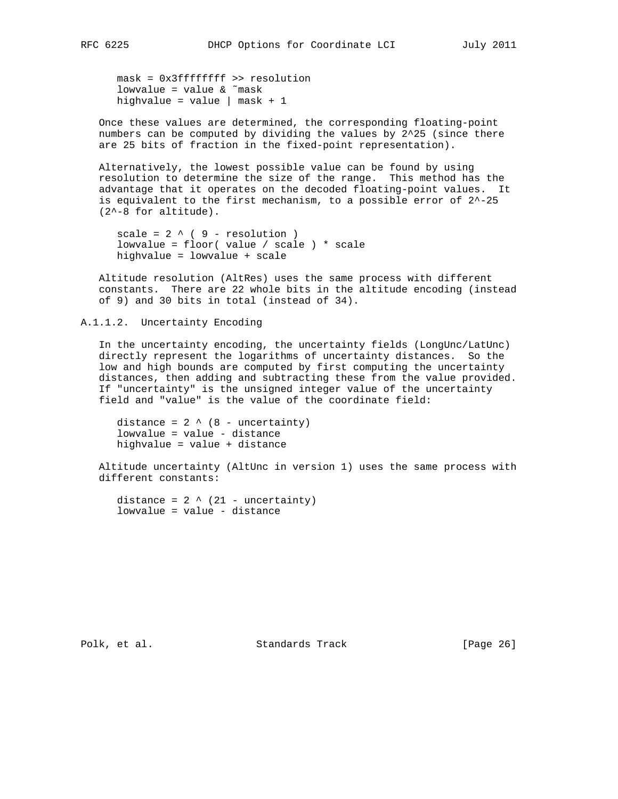mask = 0x3ffffffff >> resolution lowvalue = value & ˜mask highvalue = value  $|$  mask + 1

 Once these values are determined, the corresponding floating-point numbers can be computed by dividing the values by 2^25 (since there are 25 bits of fraction in the fixed-point representation).

 Alternatively, the lowest possible value can be found by using resolution to determine the size of the range. This method has the advantage that it operates on the decoded floating-point values. It is equivalent to the first mechanism, to a possible error of  $2^{\wedge -25}$ (2^-8 for altitude).

```
scale = 2 \wedge (9 - resolution) lowvalue = floor( value / scale ) * scale
 highvalue = lowvalue + scale
```
 Altitude resolution (AltRes) uses the same process with different constants. There are 22 whole bits in the altitude encoding (instead of 9) and 30 bits in total (instead of 34).

A.1.1.2. Uncertainty Encoding

 In the uncertainty encoding, the uncertainty fields (LongUnc/LatUnc) directly represent the logarithms of uncertainty distances. So the low and high bounds are computed by first computing the uncertainty distances, then adding and subtracting these from the value provided. If "uncertainty" is the unsigned integer value of the uncertainty field and "value" is the value of the coordinate field:

distance =  $2 \wedge (8 - \text{uncertainty})$  lowvalue = value - distance highvalue = value + distance

 Altitude uncertainty (AltUnc in version 1) uses the same process with different constants:

distance =  $2 \wedge (21 - uncertainty)$ lowvalue = value - distance

Polk, et al. Standards Track [Page 26]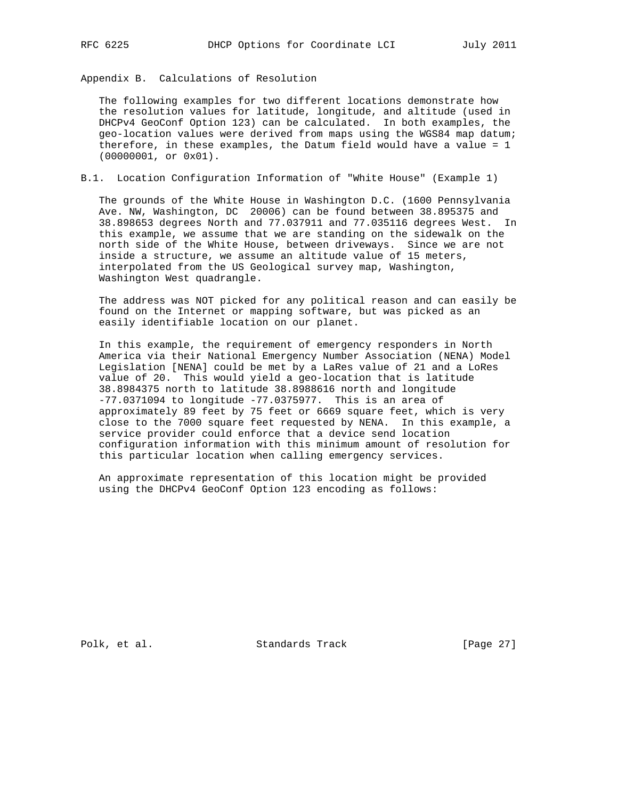Appendix B. Calculations of Resolution

 The following examples for two different locations demonstrate how the resolution values for latitude, longitude, and altitude (used in DHCPv4 GeoConf Option 123) can be calculated. In both examples, the geo-location values were derived from maps using the WGS84 map datum; therefore, in these examples, the Datum field would have a value = 1 (00000001, or 0x01).

# B.1. Location Configuration Information of "White House" (Example 1)

 The grounds of the White House in Washington D.C. (1600 Pennsylvania Ave. NW, Washington, DC 20006) can be found between 38.895375 and 38.898653 degrees North and 77.037911 and 77.035116 degrees West. In this example, we assume that we are standing on the sidewalk on the north side of the White House, between driveways. Since we are not inside a structure, we assume an altitude value of 15 meters, interpolated from the US Geological survey map, Washington, Washington West quadrangle.

 The address was NOT picked for any political reason and can easily be found on the Internet or mapping software, but was picked as an easily identifiable location on our planet.

 In this example, the requirement of emergency responders in North America via their National Emergency Number Association (NENA) Model Legislation [NENA] could be met by a LaRes value of 21 and a LoRes value of 20. This would yield a geo-location that is latitude 38.8984375 north to latitude 38.8988616 north and longitude -77.0371094 to longitude -77.0375977. This is an area of approximately 89 feet by 75 feet or 6669 square feet, which is very close to the 7000 square feet requested by NENA. In this example, a service provider could enforce that a device send location configuration information with this minimum amount of resolution for this particular location when calling emergency services.

 An approximate representation of this location might be provided using the DHCPv4 GeoConf Option 123 encoding as follows:

Polk, et al. Standards Track [Page 27]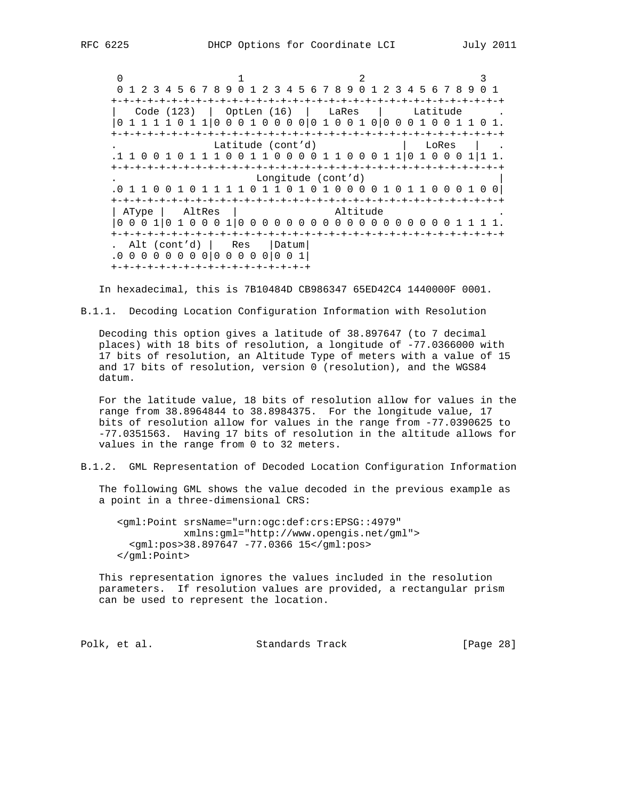$0$  and  $1$  and  $2$  3 0 1 2 3 4 5 6 7 8 9 0 1 2 3 4 5 6 7 8 9 0 1 2 3 4 5 6 7 8 9 0 1 +-+-+-+-+-+-+-+-+-+-+-+-+-+-+-+-+-+-+-+-+-+-+-+-+-+-+-+-+-+-+-+-+ | Code (123) | OptLen (16) | LaRes | Latitude . |0 1 1 1 1 0 1 1|0 0 0 1 0 0 0 0|0 1 0 0 1 0|0 0 0 1 0 0 1 1 0 1. +-+-+-+-+-+-+-+-+-+-+-+-+-+-+-+-+-+-+-+-+-+-+-+-+-+-+-+-+-+-+-+-+ . Latitude (cont'd) | LoRes | . .1 1 0 0 1 0 1 1 1 0 0 1 1 0 0 0 0 1 1 0 0 0 1 1|0 1 0 0 0 1|1 1. +-+-+-+-+-+-+-+-+-+-+-+-+-+-+-+-+-+-+-+-+-+-+-+-+-+-+-+-+-+-+-+-+ . Longitude (cont'd) | .0 1 1 0 0 1 0 1 1 1 1 0 1 1 0 1 0 1 0 0 0 0 1 0 1 1 0 0 0 1 0 0| +-+-+-+-+-+-+-+-+-+-+-+-+-+-+-+-+-+-+-+-+-+-+-+-+-+-+-+-+-+-+-+-+ | AType | AltRes | Altitude |0 0 0 1|0 1 0 0 0 1|0 0 0 0 0 0 0 0 0 0 0 0 0 0 0 0 0 0 1 1 1 1. +-+-+-+-+-+-+-+-+-+-+-+-+-+-+-+-+-+-+-+-+-+-+-+-+-+-+-+-+-+-+-+-+ . Alt (cont'd) | Res |Datum| .0 0 0 0 0 0 0 0|0 0 0 0 0|0 0 1|

+-+-+-+-+-+-+-+-+-+-+-+-+-+-+-+-+

In hexadecimal, this is 7B10484D CB986347 65ED42C4 1440000F 0001.

B.1.1. Decoding Location Configuration Information with Resolution

 Decoding this option gives a latitude of 38.897647 (to 7 decimal places) with 18 bits of resolution, a longitude of -77.0366000 with 17 bits of resolution, an Altitude Type of meters with a value of 15 and 17 bits of resolution, version 0 (resolution), and the WGS84 datum.

 For the latitude value, 18 bits of resolution allow for values in the range from 38.8964844 to 38.8984375. For the longitude value, 17 bits of resolution allow for values in the range from -77.0390625 to -77.0351563. Having 17 bits of resolution in the altitude allows for values in the range from 0 to 32 meters.

B.1.2. GML Representation of Decoded Location Configuration Information

 The following GML shows the value decoded in the previous example as a point in a three-dimensional CRS:

 <gml:Point srsName="urn:ogc:def:crs:EPSG::4979" xmlns:gml="http://www.opengis.net/gml"> <gml:pos>38.897647 -77.0366 15</gml:pos> </gml:Point>

 This representation ignores the values included in the resolution parameters. If resolution values are provided, a rectangular prism can be used to represent the location.

Polk, et al. Standards Track [Page 28]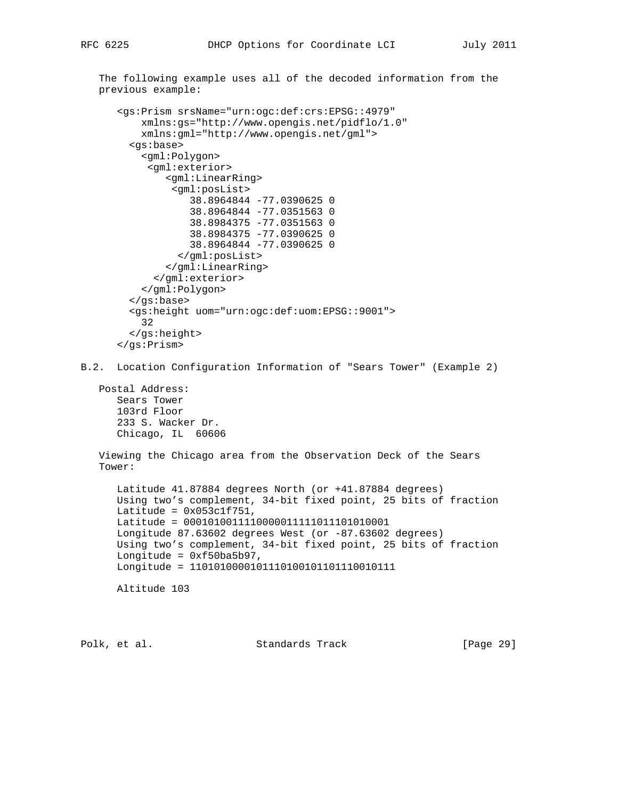The following example uses all of the decoded information from the

```
 previous example:
       <gs:Prism srsName="urn:ogc:def:crs:EPSG::4979"
           xmlns:gs="http://www.opengis.net/pidflo/1.0"
           xmlns:gml="http://www.opengis.net/gml">
         <gs:base>
           <gml:Polygon>
            <gml:exterior>
               <gml:LinearRing>
                <gml:posList>
                   38.8964844 -77.0390625 0
                   38.8964844 -77.0351563 0
                   38.8984375 -77.0351563 0
                   38.8984375 -77.0390625 0
                   38.8964844 -77.0390625 0
                 </gml:posList>
               </gml:LinearRing>
             </gml:exterior>
           </gml:Polygon>
         </gs:base>
         <gs:height uom="urn:ogc:def:uom:EPSG::9001">
           32
         </gs:height>
       </gs:Prism>
B.2. Location Configuration Information of "Sears Tower" (Example 2)
   Postal Address:
       Sears Tower
       103rd Floor
       233 S. Wacker Dr.
       Chicago, IL 60606
   Viewing the Chicago area from the Observation Deck of the Sears
    Tower:
       Latitude 41.87884 degrees North (or +41.87884 degrees)
       Using two's complement, 34-bit fixed point, 25 bits of fraction
     Latitude = 0x053c1f751,
      Latitude = 0001010011110000011111011101010001
      Longitude 87.63602 degrees West (or -87.63602 degrees)
      Using two's complement, 34-bit fixed point, 25 bits of fraction
      Longitude = 0xf50ba5b97,
      Longitude = 1101010000101110100101101110010111
      Altitude 103
Polk, et al. Standards Track [Page 29]
```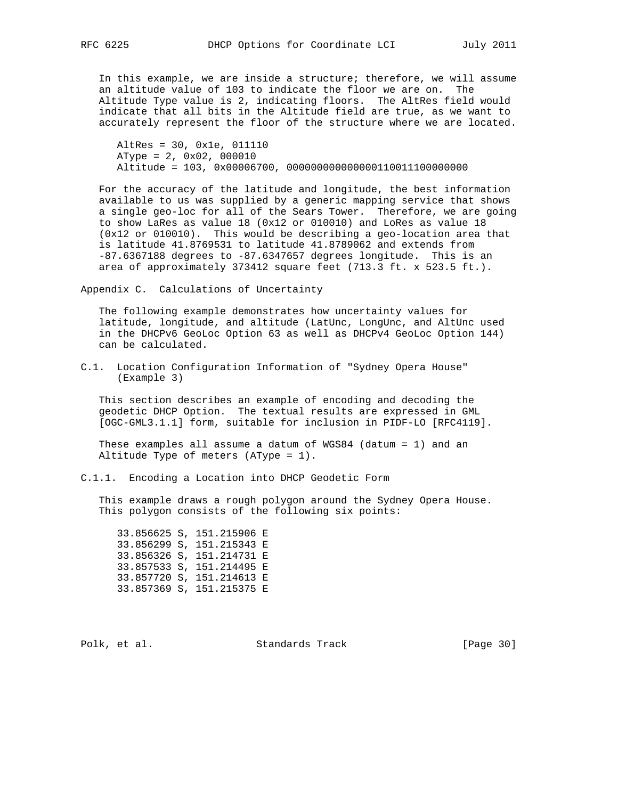In this example, we are inside a structure; therefore, we will assume an altitude value of 103 to indicate the floor we are on. The Altitude Type value is 2, indicating floors. The AltRes field would indicate that all bits in the Altitude field are true, as we want to accurately represent the floor of the structure where we are located.

 AltRes = 30, 0x1e, 011110 AType = 2, 0x02, 000010 Altitude = 103, 0x00006700, 000000000000000110011100000000

 For the accuracy of the latitude and longitude, the best information available to us was supplied by a generic mapping service that shows a single geo-loc for all of the Sears Tower. Therefore, we are going to show LaRes as value 18 (0x12 or 010010) and LoRes as value 18 (0x12 or 010010). This would be describing a geo-location area that is latitude 41.8769531 to latitude 41.8789062 and extends from -87.6367188 degrees to -87.6347657 degrees longitude. This is an area of approximately 373412 square feet (713.3 ft. x 523.5 ft.).

Appendix C. Calculations of Uncertainty

 The following example demonstrates how uncertainty values for latitude, longitude, and altitude (LatUnc, LongUnc, and AltUnc used in the DHCPv6 GeoLoc Option 63 as well as DHCPv4 GeoLoc Option 144) can be calculated.

C.1. Location Configuration Information of "Sydney Opera House" (Example 3)

 This section describes an example of encoding and decoding the geodetic DHCP Option. The textual results are expressed in GML [OGC-GML3.1.1] form, suitable for inclusion in PIDF-LO [RFC4119].

 These examples all assume a datum of WGS84 (datum = 1) and an Altitude Type of meters (AType = 1).

C.1.1. Encoding a Location into DHCP Geodetic Form

 This example draws a rough polygon around the Sydney Opera House. This polygon consists of the following six points:

 33.856625 S, 151.215906 E 33.856299 S, 151.215343 E 33.856326 S, 151.214731 E 33.857533 S, 151.214495 E 33.857720 S, 151.214613 E 33.857369 S, 151.215375 E

Polk, et al. Standards Track [Page 30]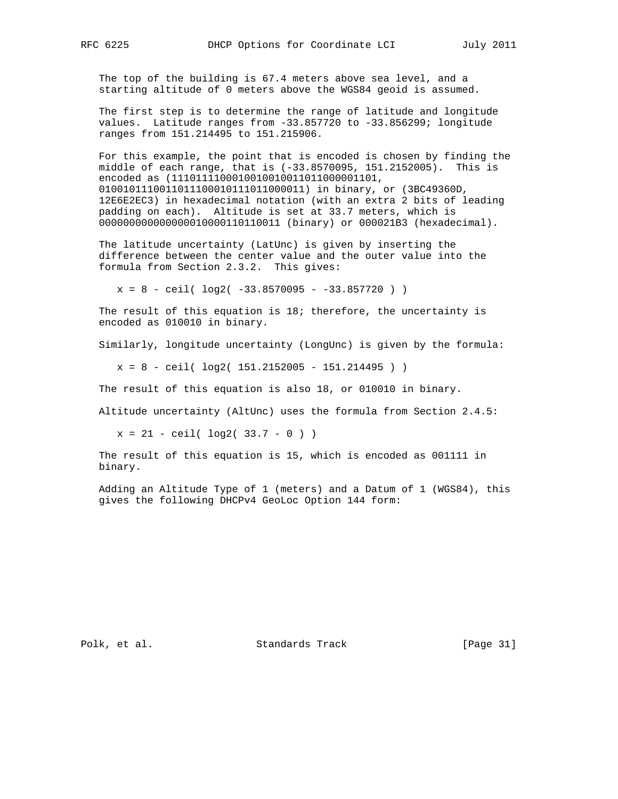The top of the building is 67.4 meters above sea level, and a starting altitude of 0 meters above the WGS84 geoid is assumed.

 The first step is to determine the range of latitude and longitude values. Latitude ranges from -33.857720 to -33.856299; longitude ranges from 151.214495 to 151.215906.

 For this example, the point that is encoded is chosen by finding the middle of each range, that is (-33.8570095, 151.2152005). This is encoded as (1110111100010010010011011000001101, 0100101110011011100010111011000011) in binary, or (3BC49360D, 12E6E2EC3) in hexadecimal notation (with an extra 2 bits of leading padding on each). Altitude is set at 33.7 meters, which is 000000000000000010000110110011 (binary) or 000021B3 (hexadecimal).

 The latitude uncertainty (LatUnc) is given by inserting the difference between the center value and the outer value into the formula from Section 2.3.2. This gives:

 $x = 8 - \text{ceil}( \log 2( -33.8570095 - -33.857720 ) )$ 

 The result of this equation is 18; therefore, the uncertainty is encoded as 010010 in binary.

Similarly, longitude uncertainty (LongUnc) is given by the formula:

 $x = 8 - \text{ceil}( \log 2( 151.2152005 - 151.214495 ) )$ 

The result of this equation is also 18, or 010010 in binary.

Altitude uncertainty (AltUnc) uses the formula from Section 2.4.5:

 $x = 21 - \text{ceil}( \log 2( 33.7 - 0 ) )$ 

 The result of this equation is 15, which is encoded as 001111 in binary.

 Adding an Altitude Type of 1 (meters) and a Datum of 1 (WGS84), this gives the following DHCPv4 GeoLoc Option 144 form:

Polk, et al. Standards Track [Page 31]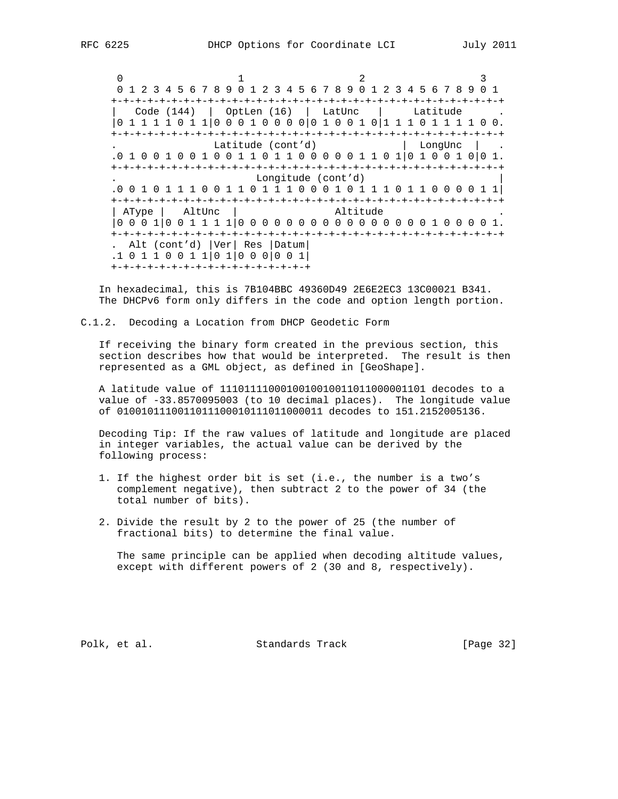$0$  and  $1$  and  $2$  3 0 1 2 3 4 5 6 7 8 9 0 1 2 3 4 5 6 7 8 9 0 1 2 3 4 5 6 7 8 9 0 1 +-+-+-+-+-+-+-+-+-+-+-+-+-+-+-+-+-+-+-+-+-+-+-+-+-+-+-+-+-+-+-+-+ | Code (144) | OptLen (16) | LatUnc | Latitude . |0 1 1 1 1 0 1 1|0 0 0 1 0 0 0 0|0 1 0 0 1 0|1 1 1 0 1 1 1 1 0 0. +-+-+-+-+-+-+-+-+-+-+-+-+-+-+-+-+-+-+-+-+-+-+-+-+-+-+-+-+-+-+-+-+ Latitude (cont'd) .0 1 0 0 1 0 0 1 0 0 1 1 0 1 1 0 0 0 0 0 1 1 0 1|0 1 0 0 1 0|0 1. +-+-+-+-+-+-+-+-+-+-+-+-+-+-+-+-+-+-+-+-+-+-+-+-+-+-+-+-+-+-+-+-+ . Longitude (cont'd) | .0 0 1 0 1 1 1 0 0 1 1 0 1 1 1 0 0 0 1 0 1 1 1 0 1 1 0 0 0 0 1 1| +-+-+-+-+-+-+-+-+-+-+-+-+-+-+-+-+-+-+-+-+-+-+-+-+-+-+-+-+-+-+-+-+ | AType | AltUnc | Altitude |0 0 0 1|0 0 1 1 1 1|0 0 0 0 0 0 0 0 0 0 0 0 0 0 0 0 1 0 0 0 0 1. +-+-+-+-+-+-+-+-+-+-+-+-+-+-+-+-+-+-+-+-+-+-+-+-+-+-+-+-+-+-+-+-+ . Alt (cont'd) |Ver| Res |Datum| .1 0 1 1 0 0 1 1|0 1|0 0 0|0 0 1| +-+-+-+-+-+-+-+-+-+-+-+-+-+-+-+-+

 In hexadecimal, this is 7B104BBC 49360D49 2E6E2EC3 13C00021 B341. The DHCPv6 form only differs in the code and option length portion.

C.1.2. Decoding a Location from DHCP Geodetic Form

 If receiving the binary form created in the previous section, this section describes how that would be interpreted. The result is then represented as a GML object, as defined in [GeoShape].

 A latitude value of 1110111100010010010011011000001101 decodes to a value of -33.8570095003 (to 10 decimal places). The longitude value of 0100101110011011100010111011000011 decodes to 151.2152005136.

 Decoding Tip: If the raw values of latitude and longitude are placed in integer variables, the actual value can be derived by the following process:

- 1. If the highest order bit is set (i.e., the number is a two's complement negative), then subtract 2 to the power of 34 (the total number of bits).
- 2. Divide the result by 2 to the power of 25 (the number of fractional bits) to determine the final value.

 The same principle can be applied when decoding altitude values, except with different powers of 2 (30 and 8, respectively).

Polk, et al. Standards Track [Page 32]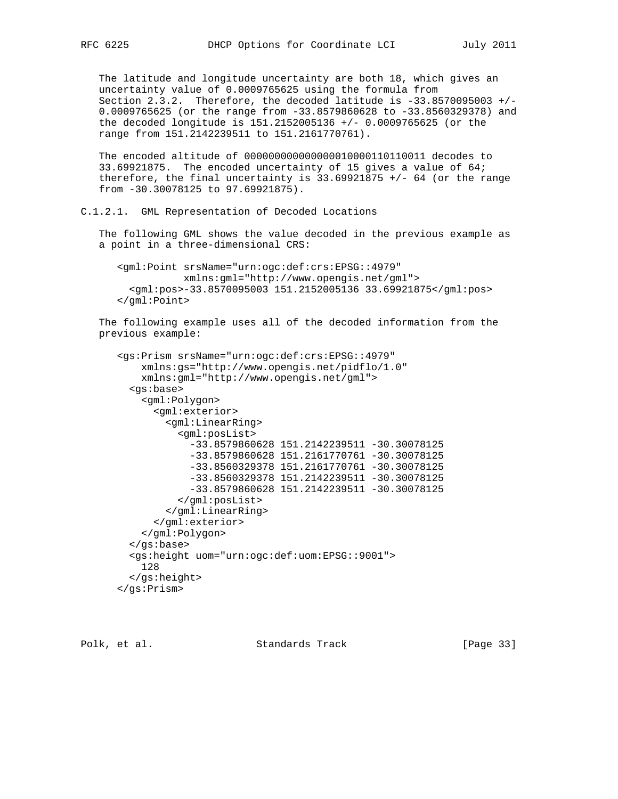The latitude and longitude uncertainty are both 18, which gives an uncertainty value of 0.0009765625 using the formula from Section 2.3.2. Therefore, the decoded latitude is -33.8570095003 +/- 0.0009765625 (or the range from -33.8579860628 to -33.8560329378) and the decoded longitude is 151.2152005136 +/- 0.0009765625 (or the range from 151.2142239511 to 151.2161770761).

 The encoded altitude of 000000000000000010000110110011 decodes to 33.69921875. The encoded uncertainty of 15 gives a value of 64; therefore, the final uncertainty is  $33.69921875$  +/- 64 (or the range from -30.30078125 to 97.69921875).

```
C.1.2.1. GML Representation of Decoded Locations
```
 The following GML shows the value decoded in the previous example as a point in a three-dimensional CRS:

 <gml:Point srsName="urn:ogc:def:crs:EPSG::4979" xmlns:gml="http://www.opengis.net/gml"> <gml:pos>-33.8570095003 151.2152005136 33.69921875</gml:pos> </gml:Point>

 The following example uses all of the decoded information from the previous example:

```
 <gs:Prism srsName="urn:ogc:def:crs:EPSG::4979"
     xmlns:gs="http://www.opengis.net/pidflo/1.0"
     xmlns:gml="http://www.opengis.net/gml">
   <gs:base>
     <gml:Polygon>
       <gml:exterior>
         <gml:LinearRing>
           <gml:posList>
             -33.8579860628 151.2142239511 -30.30078125
             -33.8579860628 151.2161770761 -30.30078125
             -33.8560329378 151.2161770761 -30.30078125
             -33.8560329378 151.2142239511 -30.30078125
             -33.8579860628 151.2142239511 -30.30078125
           </gml:posList>
         </gml:LinearRing>
       </gml:exterior>
     </gml:Polygon>
   </gs:base>
   <gs:height uom="urn:ogc:def:uom:EPSG::9001">
     128
   </gs:height>
 </gs:Prism>
```
Polk, et al. Standards Track [Page 33]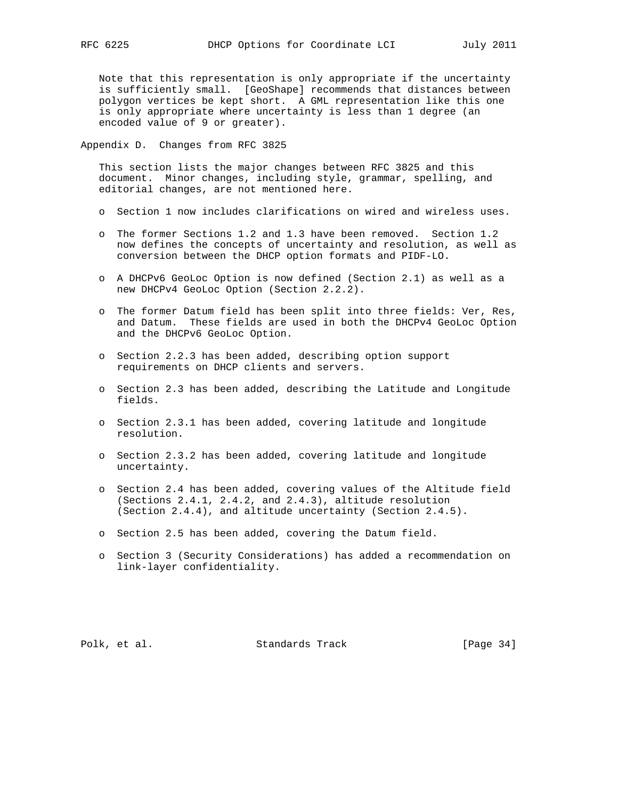Note that this representation is only appropriate if the uncertainty is sufficiently small. [GeoShape] recommends that distances between polygon vertices be kept short. A GML representation like this one is only appropriate where uncertainty is less than 1 degree (an encoded value of 9 or greater).

Appendix D. Changes from RFC 3825

 This section lists the major changes between RFC 3825 and this document. Minor changes, including style, grammar, spelling, and editorial changes, are not mentioned here.

- o Section 1 now includes clarifications on wired and wireless uses.
- o The former Sections 1.2 and 1.3 have been removed. Section 1.2 now defines the concepts of uncertainty and resolution, as well as conversion between the DHCP option formats and PIDF-LO.
- o A DHCPv6 GeoLoc Option is now defined (Section 2.1) as well as a new DHCPv4 GeoLoc Option (Section 2.2.2).
- o The former Datum field has been split into three fields: Ver, Res, and Datum. These fields are used in both the DHCPv4 GeoLoc Option and the DHCPv6 GeoLoc Option.
- o Section 2.2.3 has been added, describing option support requirements on DHCP clients and servers.
- o Section 2.3 has been added, describing the Latitude and Longitude fields.
- o Section 2.3.1 has been added, covering latitude and longitude resolution.
- o Section 2.3.2 has been added, covering latitude and longitude uncertainty.
- o Section 2.4 has been added, covering values of the Altitude field (Sections 2.4.1, 2.4.2, and 2.4.3), altitude resolution (Section 2.4.4), and altitude uncertainty (Section 2.4.5).
- o Section 2.5 has been added, covering the Datum field.
- o Section 3 (Security Considerations) has added a recommendation on link-layer confidentiality.

Polk, et al. Standards Track [Page 34]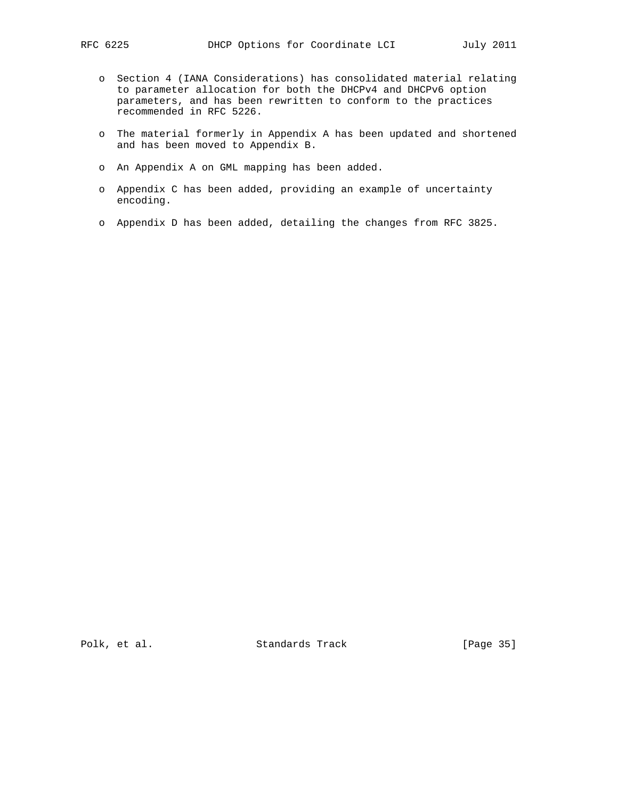- o Section 4 (IANA Considerations) has consolidated material relating to parameter allocation for both the DHCPv4 and DHCPv6 option parameters, and has been rewritten to conform to the practices recommended in RFC 5226.
- o The material formerly in Appendix A has been updated and shortened and has been moved to Appendix B.
- o An Appendix A on GML mapping has been added.
- o Appendix C has been added, providing an example of uncertainty encoding.
- o Appendix D has been added, detailing the changes from RFC 3825.

Polk, et al. Standards Track [Page 35]